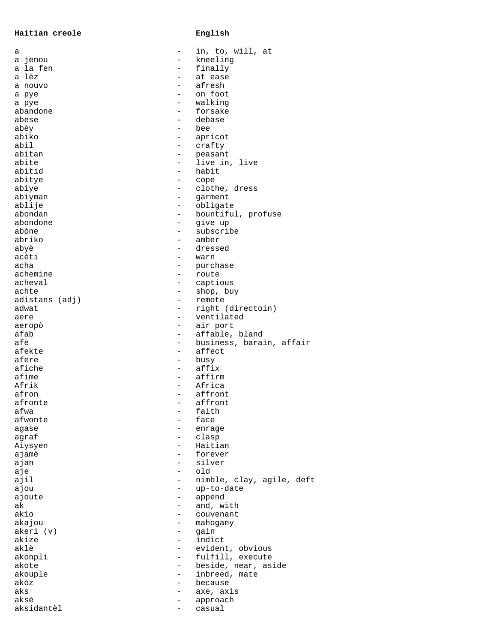**Haitian creole English**

| а                       |                                               | in, to, will, at            |
|-------------------------|-----------------------------------------------|-----------------------------|
| a jenou                 | $\overline{\phantom{0}}$                      | kneeling                    |
| a la fen                |                                               | finally                     |
| a lèz                   |                                               | at ease                     |
| a nouvo                 |                                               | afresh                      |
| a pye                   | $\overline{\phantom{0}}$                      | on foot                     |
| a pye                   |                                               | walking                     |
| abandone                | $\overline{\phantom{0}}$                      | forsake                     |
| abese                   |                                               | debase                      |
| abèy                    | $\overline{\phantom{0}}$                      | bee                         |
| abiko                   | $\qquad \qquad -$                             | apricot                     |
| abil                    | $\overline{\phantom{0}}$                      | crafty                      |
| abitan                  |                                               | peasant                     |
| abite                   | $\overline{\phantom{a}}$                      | live in, live               |
| abitid                  | $\qquad \qquad -$                             | habit                       |
| abitye                  | $\overline{\phantom{0}}$                      | cope                        |
| abiye                   |                                               | clothe, dress               |
| abiyman                 | $\overline{\phantom{0}}$                      | garment                     |
| ablije                  | $\overline{\phantom{0}}$                      | obligate                    |
| abondan                 | $\qquad \qquad -$<br>$\overline{\phantom{0}}$ | bountiful, profuse          |
| abondone                | $\equiv$                                      | give up<br>subscribe        |
| abòne<br>abriko         | $\overline{\phantom{0}}$                      |                             |
|                         |                                               | amber                       |
| abyè<br>acèti           | —                                             | dressed                     |
| acha                    |                                               | warn                        |
| achemine                |                                               | purchase                    |
|                         | $\qquad \qquad -$                             | route                       |
| acheval                 | $\qquad \qquad -$                             | captious                    |
| achte                   |                                               | shop, buy                   |
| adistans (adj)<br>adwat | $\qquad \qquad -$                             | remote<br>right (directoin) |
| aere                    | $\qquad \qquad -$                             | ventilated                  |
| aeropò                  | -                                             | air port                    |
| afab                    |                                               | affable, bland              |
| afè                     | $\overline{\phantom{0}}$                      | business, barain, affair    |
| afekte                  | $\qquad \qquad -$                             | affect                      |
| afere                   |                                               | busy                        |
| afiche                  |                                               | affix                       |
| afime                   | $\overline{\phantom{a}}$                      | affirm                      |
| Afrik                   | $\qquad \qquad -$                             | Africa                      |
| afron                   |                                               | affront                     |
| afronte                 | -                                             | affront                     |
| afwa                    |                                               | faith                       |
| afwonte                 |                                               | face                        |
| agase                   |                                               | enrage                      |
| agraf                   |                                               | clasp                       |
| Aiysyen                 |                                               | Haitian                     |
| ajamè                   | -                                             | forever                     |
| ajan                    |                                               | silver                      |
| aje                     | $\overline{\phantom{0}}$                      | old                         |
| ajil                    |                                               | nimble, clay, agile, deft   |
| ajou                    | $\qquad \qquad -$                             | up-to-date                  |
| ajoute                  | -                                             | append                      |
| ak                      |                                               | and, with                   |
| ak1o                    |                                               | couvenant                   |
| akajou                  |                                               | mahogany                    |
| akeri (v)               | -                                             | qain                        |
| akize                   | $\overline{\phantom{0}}$                      | indict                      |
| aklè                    |                                               | evident, obvious            |
| akonpli                 | $\overline{\phantom{0}}$                      | fulfill, execute            |
| akote                   | $\overline{\phantom{0}}$                      | beside, near, aside         |
| akouple                 | $\overline{\phantom{0}}$                      | inbreed, mate               |
| akòz                    |                                               | because                     |
| aks                     |                                               | axe, axis                   |
| aksè                    | -                                             | approach                    |
| aksidantèl              | -                                             | casual                      |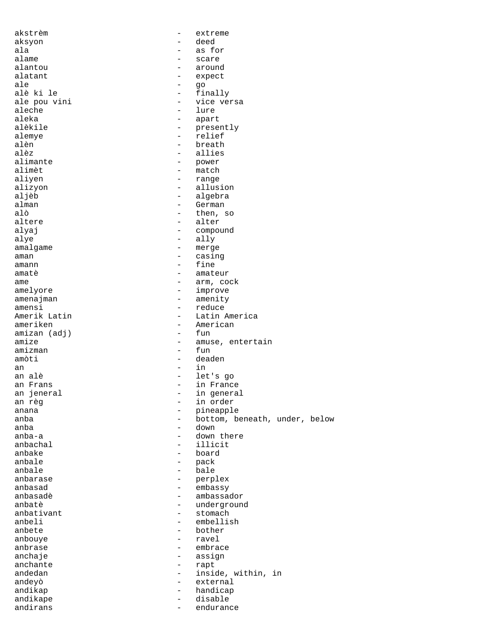akstrèm - extreme aksyon - deed ala - as for alame - scare - scare - scare - scare - scare - scare - scare - scare - scare - scare - scare - scare - scare - scare - scare - scare - scare - scare - scare - scare - scare - scare - scare - scare - scare - scare - scare alantou - around alatant - expect<br>ale - expect<br>- qo ale - go alè ki le - finally ale pou vini  $\qquad \qquad -$  vice versa aleche aleche - lure aleka - apart - presently alemye - relief alèn - breath alèz - allies alimante - power<br>alimèt - match alimèt - match aliyen - range alizyon - range - range alizyon - range - range - range - range - range - range - range - range - range - range - range - range - range - range - range - range - range - range - range - range - range - range alizyon - allusion aljèb - algebra alman - German alò  $-$  then, so<br>altere  $-$  alter - alter alyaj - compound  $\frac{1}{2}$  ally amalgame - merge aman - casing amann - fine amatè - amateur ame - arm, cock amelyore - improve amenajman - amenity<br>amensi - reduce amensi - reduce - Latin America ameriken - American<br>amizan (adi) - fun amizan (adj)<br>amize - amuse, entertain<br>- fun amizman amòti - deaden an - in in an alè - let's go an Frans - in France an jeneral - in general an règ - in order anana - pineapple - pineapple - pineapple - pineapple - pineapple - pineapple - pineapple - pineapple - pineap anba - bottom, beneath, under, below<br>anba - down anba  $\begin{array}{ccc} - & \text{down} \\ - & \text{down} \end{array}$ anba-a - down there anbachal - down there anbachal anbachal - illicit - board anbale - pack anbale - bale<br>anbarase - perp anbarase - perplex anbasad - embassy anbasadè - ambassador - underground<br>- stomach anbativant - stormaching - stormaching - stormaching - stormaching - stormaching - stormaching - stormaching anbeli - embellish<br>anbete - bother - bother - bother anbouye - ravel anbrase - embrace anchaje - assign anchante  $\qquad \qquad -$  rapt andedan - inside, within, in andeyò - external andikap - handicap andikape - disable - disable - disable - disable - disable - disable - disable - disable - disable - disable endurance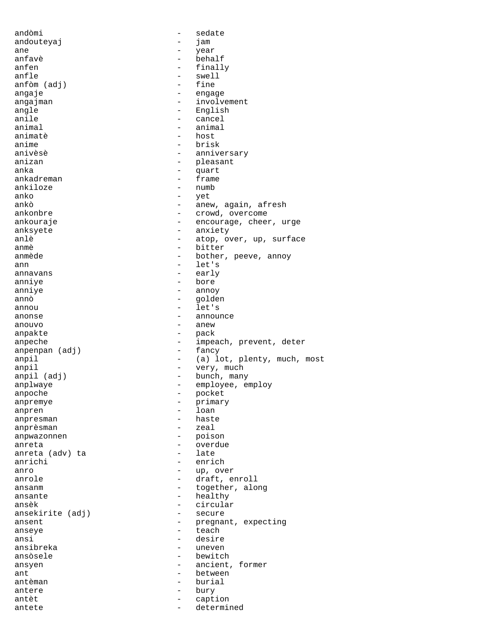| andòmi                                            | $\overline{\phantom{0}}$ | sedate                      |
|---------------------------------------------------|--------------------------|-----------------------------|
| andouteyaj                                        |                          | jam                         |
| ane                                               | $\overline{\phantom{0}}$ | year                        |
| anfavè                                            |                          | behalf                      |
| anfen                                             | $\qquad \qquad -$        | finally                     |
| anfle                                             | $\overline{\phantom{0}}$ | swell                       |
| anfòm (adj)                                       | $\qquad \qquad -$        | fine                        |
| angaje                                            | -                        | engage                      |
| angajman                                          | $\overline{\phantom{0}}$ | involvement                 |
| angle                                             | $\overline{\phantom{0}}$ | English                     |
| anile                                             | $\qquad \qquad -$        | cancel                      |
| animal                                            |                          | animal                      |
| animatè                                           | $\overline{\phantom{0}}$ | host                        |
| anime                                             | $\overline{\phantom{0}}$ | brisk                       |
| anivèsè                                           | -                        | anniversary                 |
| anizan                                            |                          | pleasant                    |
| anka                                              |                          |                             |
| ankadreman                                        | -                        | quart                       |
| ankiloze                                          |                          | frame                       |
|                                                   | $\qquad \qquad -$        | numb                        |
| anko                                              | -                        | yet                         |
| ankò                                              | -                        | anew, again, afresh         |
| ankonbre                                          |                          | crowd, overcome             |
| ankouraje                                         | $\qquad \qquad -$        | encourage, cheer, urge      |
| anksyete                                          | $\qquad \qquad -$        | anxiety                     |
| anlè                                              | $\overline{\phantom{0}}$ | atop, over, up, surface     |
| anmè                                              |                          | bitter                      |
| anmède                                            | $\overline{\phantom{0}}$ | bother, peeve, annoy        |
| ann                                               | $\overline{\phantom{0}}$ | let's                       |
| annavans                                          | $\qquad \qquad -$        | early                       |
| anniye                                            | $\overline{\phantom{0}}$ | bore                        |
| anniye                                            | $\qquad \qquad -$        | annoy                       |
| annò                                              | $\qquad \qquad -$        | golden                      |
| annou                                             | $\overline{\phantom{0}}$ | let's                       |
| anonse                                            | $\overline{\phantom{0}}$ | announce                    |
| anouvo                                            | $\overline{\phantom{0}}$ | anew                        |
| anpakte                                           |                          |                             |
|                                                   | -                        |                             |
|                                                   | -                        | pack                        |
| anpeche                                           | $\overline{\phantom{0}}$ | impeach, prevent, deter     |
| anpenpan (adj)                                    | $\qquad \qquad -$        | fancy                       |
| anpil                                             |                          | (a) lot, plenty, much, most |
| anpil                                             | -                        | very, much                  |
| anpil (adj)                                       | -                        | bunch, many                 |
| anplwaye                                          | -                        | employee, employ            |
| anpoche                                           |                          | pocket                      |
| anpremye                                          | -                        | primary                     |
| anpren                                            | -                        | loan                        |
| anpresman                                         |                          | haste                       |
| anprèsman                                         |                          | zeal                        |
| anpwazonnen                                       | $\qquad \qquad -$        | poison                      |
| anreta                                            | $\qquad \qquad -$        | overdue                     |
| anreta (adv) ta                                   | $\overline{\phantom{0}}$ | late                        |
| anrichi                                           |                          | enrich                      |
| anro                                              | $\overline{\phantom{0}}$ | up, over                    |
| anrole                                            | $\overline{\phantom{0}}$ | draft, enroll               |
| ansanm                                            | -                        | together, along             |
| ansante                                           | $\qquad \qquad -$        | healthy                     |
| ansèk                                             | $\qquad \qquad -$        | circular                    |
| ansekirite (adj)                                  | $\qquad \qquad -$        | secure                      |
| ansent                                            | -                        | pregnant, expecting         |
| anseye                                            | $\overline{\phantom{0}}$ | teach                       |
| ansi                                              | $\overline{\phantom{0}}$ | desire                      |
|                                                   | $\overline{\phantom{0}}$ | uneven                      |
|                                                   | $\qquad \qquad -$        | bewitch                     |
|                                                   | $\overline{\phantom{0}}$ | ancient, former             |
|                                                   | $\overline{\phantom{0}}$ | between                     |
| ansibreka<br>ansòsele<br>ansyen<br>ant<br>antèman | $\overline{\phantom{0}}$ | burial                      |
| antere                                            | Ξ.                       | bury                        |
| antèt                                             | -                        | caption                     |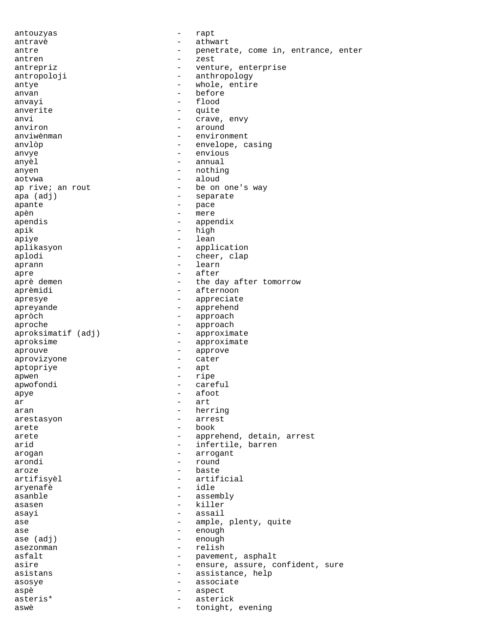antouzyas - rapt antravè - athwart antre  $-$  penetrate, come in, entrance, enter antren  $\overline{\phantom{a}}$  zest antrepriz  $-$  venture, enterprise antropoloji - anthropology antye - whole, entire<br>anyan - before anvan - before anvayi - flood anverite - quite anvi - crave, envy<br>anviron - around - around - around anviwènman environment anvlòp - envelope, casing anvye - envious anyèl <br/>  $\hfill$  - annual anyen - nothing - nothing aotvwa - aloud - be on one's way apa (adj) - separate apante - pace apèn - mere<br>apendis - mere - mere apendis - appendix apik - high apiye - lean aplikasyon - application aplodi - cheer, clap aprann - learn apre - after the day after tomorrow aprèmidi - afternoon apresye - appreciate apreyande - apprehend apròch ann am amhann ann am amhann an amhann an amhann an amhann an amhann an amhann an amhann an amhann an amh aproche - approach<br>aproksimatif (adj) - approximate aproksimatif (adj) aproksime - approximate aprouve - approve aprovizyone - cater aptopriye - apt apwen - ripe apwofondi - careful<br>anve - careful<br>- afoot  $\begin{array}{ccc}\n\text{apye} & - & \text{afoot} \\
\text{ar} & - & \text{art} \\
\end{array}$ ar  $-$  art aran  $-$  herring arestasyon - arrest arete - book arete - apprehend, detain, arrest arid  $-$  infertile, barren arogan - arrogant arondi - round aroze - baste artifisyèl - artificial aryenafè - idle asanble - assembly<br>assem asasen - killer<br>asavi - assail asayi - assail ase  $\qquad \qquad -$  ample, plenty, quite ase - enough ase (adj) - enough asezonman - relish - relish<br>asfalt - pavemer - pavement, asphalt asire  $\qquad \qquad \qquad -$  ensure, assure, confident, sure asistans - assistance, help<br>asosye - associate asosye - associate aspè - aspect asteris\* - asterick aswè  $-$  tonight, evening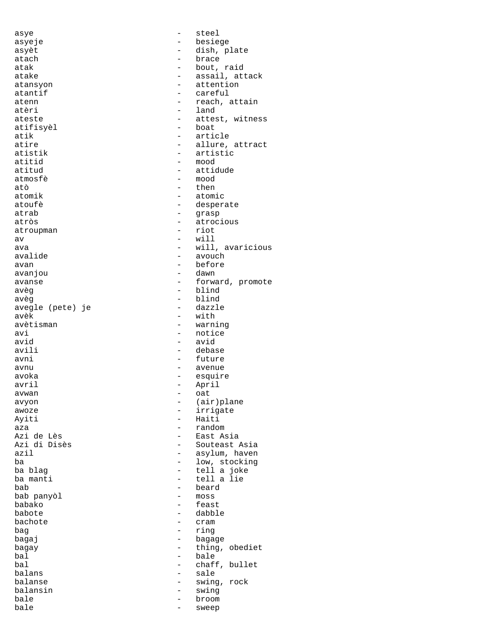| asye             |                          | steel            |
|------------------|--------------------------|------------------|
| asyeje           |                          | besiege          |
| asyèt            |                          | dish, plate      |
| atach            | $\overline{\phantom{0}}$ | brace            |
| atak             |                          | bout, raid       |
| atake            |                          | assail, attack   |
| atansyon         |                          | attention        |
| atantif          |                          | careful          |
| atenn            |                          | reach, attain    |
| atèri            |                          | land             |
| ateste           |                          | attest, witness  |
| atifisyèl        |                          | boat             |
| atik             |                          | article          |
| atire            |                          | allure, attract  |
| atistik          |                          | artistic         |
| atitid           |                          | mood             |
|                  |                          | attidude         |
| atitud           |                          |                  |
| atmosfè          |                          | mood             |
| atò              |                          | then             |
| atomik           |                          | atomic           |
| atoufè           |                          | desperate        |
| atrab            |                          | grasp            |
| atròs            | $\overline{\phantom{0}}$ | atrocious        |
| atroupman        |                          | riot             |
| av               |                          | will             |
| ava              |                          | will, avaricious |
| avalide          | -                        | avouch           |
| avan             |                          | before           |
| avanjou          | $\overline{\phantom{0}}$ | dawn             |
| avanse           |                          | forward, promote |
| avèq             | $\qquad \qquad -$        | blind            |
| avèq             |                          | blind            |
| avegle (pete) je |                          | dazzle           |
| avèk             |                          | with             |
| avètisman        |                          | warning          |
|                  |                          | notice           |
| avi              | $\overline{\phantom{0}}$ |                  |
| avid             |                          | avid             |
| avili            |                          | debase           |
| avni             | $-$                      | future           |
| avnu             |                          | avenue           |
| avoka            |                          | esquire          |
| avril            |                          | April            |
| avwan            |                          | oat              |
| avyon            |                          | (air)plane       |
| awoze            |                          | irrigate         |
| Ayiti            |                          | Haiti            |
| aza              |                          | random           |
| Azi de Lès       | $-$                      | East Asia        |
| Azi di Disès     |                          | Souteast Asia    |
| azil             | $\overline{\phantom{0}}$ | asylum, haven    |
| ba               |                          | low, stocking    |
| ba blaq          | -                        | tell a joke      |
| ba manti         |                          | tell a lie       |
| bab              |                          | beard            |
| bab panyòl       |                          | $m$ oss          |
| babako           | -                        | feast            |
| babote           | $\qquad \qquad -$        | dabble           |
| bachote          |                          |                  |
|                  |                          | cram             |
| bag              |                          | ring             |
| bagaj            | $\qquad \qquad -$        | bagage           |
| bagay            | $\overline{\phantom{0}}$ | thing, obediet   |
| bal              | $\overline{\phantom{0}}$ | bale             |
| bal              |                          | chaff, bullet    |
| balans           | $\overline{\phantom{0}}$ | sale             |
| balanse          | -                        | swing, rock      |
| balansin         |                          | swing            |
| bale             | -                        | broom            |
|                  | $\qquad \qquad -$        | sweep            |
| bale             |                          |                  |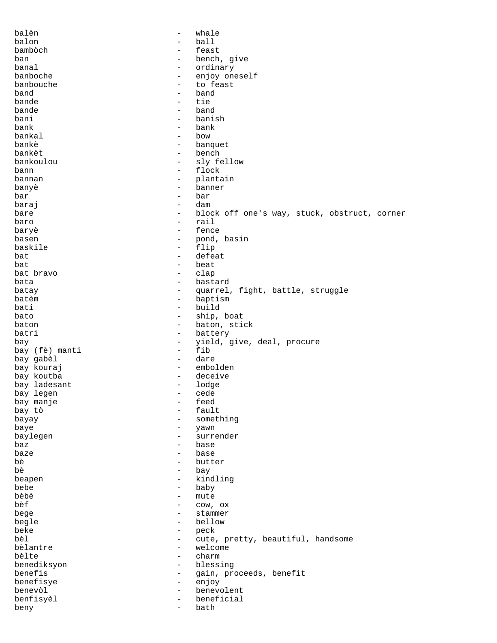| balèn<br>$\overline{\phantom{a}}$        |                          | whale                                        |
|------------------------------------------|--------------------------|----------------------------------------------|
| balon<br>$\overline{\phantom{0}}$        |                          | ball                                         |
| bambòch<br>$\overline{\phantom{0}}$      |                          | feast                                        |
| ban                                      | $\qquad \qquad -$        | bench, give                                  |
| banal                                    | $\overline{\phantom{a}}$ | ordinary                                     |
| banboche                                 | $\overline{\phantom{a}}$ | enjoy oneself                                |
| banbouche<br>$\overline{\phantom{a}}$    |                          | to feast                                     |
| band<br>$\overline{\phantom{0}}$         |                          | band                                         |
| bande<br>$\overline{\phantom{a}}$        |                          | tie                                          |
| bande                                    | $\overline{\phantom{a}}$ | band                                         |
| $\overline{\phantom{a}}$                 |                          | banish                                       |
| bani                                     |                          |                                              |
| bank                                     | $\overline{\phantom{0}}$ | bank                                         |
| bankal<br>$\overline{\phantom{a}}$       |                          | bow                                          |
| bankè                                    | $\overline{\phantom{a}}$ | banquet                                      |
| bankèt<br>$\overline{\phantom{a}}$       |                          | bench                                        |
| bankoulou                                | $\overline{\phantom{0}}$ | sly fellow                                   |
| bann<br>$\qquad \qquad -$                |                          | flock                                        |
| bannan                                   | $\overline{\phantom{m}}$ | plantain                                     |
| banyè<br>$\overline{\phantom{a}}$        |                          | banner                                       |
| bar<br>$\overline{\phantom{0}}$          |                          | bar                                          |
| baraj<br>$\overline{\phantom{0}}$        |                          | dam                                          |
| bare                                     | $\overline{\phantom{m}}$ | block off one's way, stuck, obstruct, corner |
| $\overline{\phantom{a}}$                 |                          | rail                                         |
| baro                                     |                          | fence                                        |
| baryè                                    | $\qquad \qquad -$        |                                              |
| basen<br>-                               |                          | pond, basin                                  |
| baskile                                  | $\overline{\phantom{m}}$ | flip                                         |
| bat<br>$\overline{\phantom{a}}$          |                          | defeat                                       |
| bat<br>$\overline{\phantom{0}}$          |                          | beat                                         |
| bat bravo<br>$\overline{\phantom{a}}$    |                          | clap                                         |
| bata                                     | $\overline{\phantom{a}}$ | bastard                                      |
| batay                                    | $\overline{\phantom{a}}$ | quarrel, fight, battle, struggle             |
| batèm                                    | $\overline{\phantom{a}}$ | baptism                                      |
| bati                                     | $\qquad \qquad -$        | build                                        |
|                                          |                          |                                              |
| bato                                     | $\overline{\phantom{a}}$ | ship, boat                                   |
| baton                                    | $\qquad \qquad =$        | baton, stick                                 |
| batri                                    | $\qquad \qquad -$        | battery                                      |
| bay                                      | $\overline{\phantom{0}}$ | yield, give, deal, procure                   |
| bay (fè) manti                           | $\overline{\phantom{a}}$ | fib                                          |
| bay gabèl                                | $\qquad \qquad -$        | dare                                         |
| bay kouraj<br>$\overline{\phantom{a}}$   |                          | embolden                                     |
| bay koutba<br>$\overline{\phantom{a}}$   |                          | deceive                                      |
| bay ladesant<br>$\overline{\phantom{a}}$ |                          | lodge                                        |
| bay legen                                | -                        | cede                                         |
| bay manje<br>$\qquad \qquad -$           |                          | feed                                         |
| bay tò                                   |                          | fault                                        |
| $\overline{\phantom{0}}$                 |                          | something                                    |
| bayay                                    |                          |                                              |
| baye<br>-                                |                          | yawn                                         |
| baylegen<br>$\qquad \qquad -$            |                          | surrender                                    |
| baz                                      | -                        | base                                         |
| baze<br>$\qquad \qquad -$                |                          | base                                         |
| bè                                       | $\overline{\phantom{m}}$ | butter                                       |
| bè                                       | -                        | bay                                          |
| beapen                                   | $\qquad \qquad -$        | kindling                                     |
| bebe                                     | $\qquad \qquad -$        | baby                                         |
| bèbè                                     | $\qquad \qquad -$        | mute                                         |
| bèf                                      | $\overline{\phantom{m}}$ | COW, OX                                      |
| bege                                     | $\qquad \qquad -$        | stammer                                      |
|                                          |                          |                                              |
| begle                                    | $\qquad \qquad -$        | bellow                                       |
| beke                                     | $\overline{\phantom{a}}$ | peck                                         |
| bèl                                      | $\qquad \qquad -$        | cute, pretty, beautiful, handsome            |
| bèlantre                                 | $\overline{\phantom{a}}$ | welcome                                      |
| bèlte                                    | $\qquad \qquad -$        | charm                                        |
| benediksyon                              | $\overline{\phantom{a}}$ | blessing                                     |
| benefis                                  | $\overline{\phantom{a}}$ | gain, proceeds, benefit                      |
| benefisye                                | $\qquad \qquad -$        | enjoy                                        |
| benevòl                                  | $\qquad \qquad -$        | benevolent                                   |
| benfisyèl                                | $\overline{\phantom{0}}$ | beneficial                                   |
| $\overline{\phantom{m}}$                 |                          |                                              |
| beny                                     |                          | bath                                         |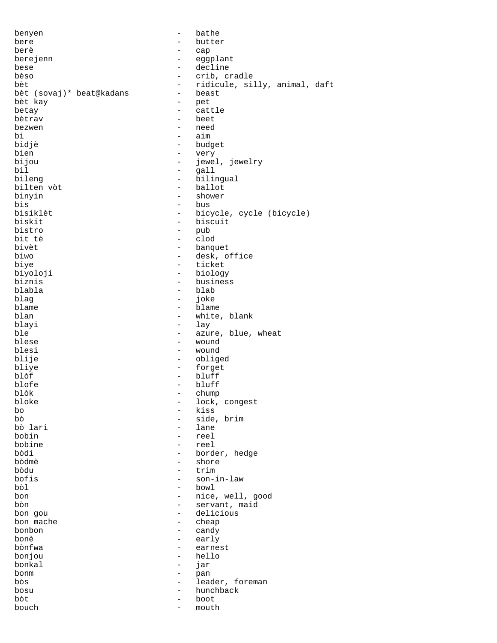| benyen                   | $\overline{\phantom{0}}$                             | bathe                             |
|--------------------------|------------------------------------------------------|-----------------------------------|
| bere                     |                                                      | butter                            |
| berè                     |                                                      | cap                               |
| berejenn                 | $\qquad \qquad -$                                    | eggplant                          |
| bese                     | $\overline{\phantom{0}}$                             | decline                           |
| bèso                     | $\qquad \qquad -$                                    | crib, cradle                      |
| bèt                      | $\qquad \qquad -$                                    | ridicule, silly, animal, daft     |
| bèt (sovaj)* beat@kadans | $\qquad \qquad -$                                    | beast                             |
| bèt kay                  | -<br>$\overline{\phantom{0}}$                        | pet                               |
| betay<br>bètrav          | $\overline{\phantom{0}}$                             | cattle                            |
| bezwen                   | $\qquad \qquad -$                                    | beet<br>need                      |
| bi                       | $\overline{\phantom{0}}$                             | aim                               |
| bidjè                    | $\qquad \qquad -$                                    | budget                            |
| bien                     | $\overline{\phantom{m}}$                             | very                              |
| bijou                    | $\overline{\phantom{m}}$                             | jewel, jewelry                    |
| bil                      | $\overline{\phantom{a}}$                             | qall                              |
| bileng                   | $\qquad \qquad -$                                    | bilingual                         |
| bilten vòt               | $\qquad \qquad -$                                    | ballot                            |
| binyin                   | $\qquad \qquad -$                                    | shower                            |
| bis                      | $\overline{\phantom{0}}$                             | bus                               |
| bisiklèt                 | $\qquad \qquad -$                                    | bicycle, cycle (bicycle)          |
| biskit                   | $\overline{\phantom{0}}$                             | biscuit                           |
| bistro                   | $\overline{\phantom{m}}$                             | pub                               |
| bit tè                   | $\overline{\phantom{a}}$                             | clod                              |
| bivèt<br>biwo            | $\overline{\phantom{0}}$<br>$\qquad \qquad -$        | banquet                           |
| biye                     | $\qquad \qquad -$                                    | desk, office<br>ticket            |
| biyoloji                 | $\overline{\phantom{m}}$                             | biology                           |
| biznis                   | $\overline{\phantom{0}}$                             | business                          |
| blabla                   | $\overline{\phantom{0}}$                             | blab                              |
| blag                     | $\qquad \qquad -$                                    | joke                              |
| blame                    | $\overline{\phantom{m}}$                             | blame                             |
| blan                     | $\overline{\phantom{0}}$                             | white, blank                      |
| blayi                    | $\overline{\phantom{0}}$                             | lay                               |
| ble                      | $\overline{\phantom{m}}$                             | azure, blue, wheat                |
| blese                    | $\qquad \qquad -$                                    | wound                             |
| blesi                    | $\qquad \qquad -$                                    | wound                             |
| blije<br>bliye           | $\qquad \qquad -$                                    | obliged                           |
| blòf                     | $\overline{\phantom{m}}$<br>$\overline{\phantom{m}}$ | forget<br>bluff                   |
| blofe                    | $\overline{\phantom{a}}$                             | bluff                             |
| blòk                     |                                                      | chump                             |
| bloke                    | $\qquad \qquad -$                                    | lock, congest                     |
| bo                       | $\overline{\phantom{0}}$                             | kiss                              |
| bò                       |                                                      | side, brim                        |
| bò lari                  |                                                      | lane                              |
| bobin                    | -                                                    | reel                              |
| bobine                   | $\overline{\phantom{0}}$                             | reel                              |
| bòdi                     | $\qquad \qquad -$                                    | border, hedge                     |
| bòdmè                    | -                                                    | shore                             |
| bòdu                     | $\overline{\phantom{0}}$                             | trim                              |
| bofis                    | $\qquad \qquad -$                                    | son-in-law                        |
| bòl                      | $-$                                                  | bowl                              |
| bon<br>bòn               | $\overline{\phantom{0}}$<br>-                        | nice, well, good<br>servant, maid |
| bon gou                  | $\overline{\phantom{0}}$                             | delicious                         |
| bon mache                | -                                                    | cheap                             |
| bonbon                   | -                                                    | candy                             |
| bonè                     | $\qquad \qquad -$                                    | early                             |
| bònfwa                   | $\qquad \qquad -$                                    | earnest                           |
| bonjou                   | $\qquad \qquad -$                                    | hello                             |
| bonkal                   | $\qquad \qquad -$                                    | jar                               |
| bonm                     | -                                                    | pan                               |
| bòs                      | $\qquad \qquad -$                                    | leader, foreman                   |
| bosu                     | -                                                    | hunchback                         |
| bòt                      | $\overline{\phantom{0}}$                             | boot                              |
| bouch                    | $\qquad \qquad -$                                    | mouth                             |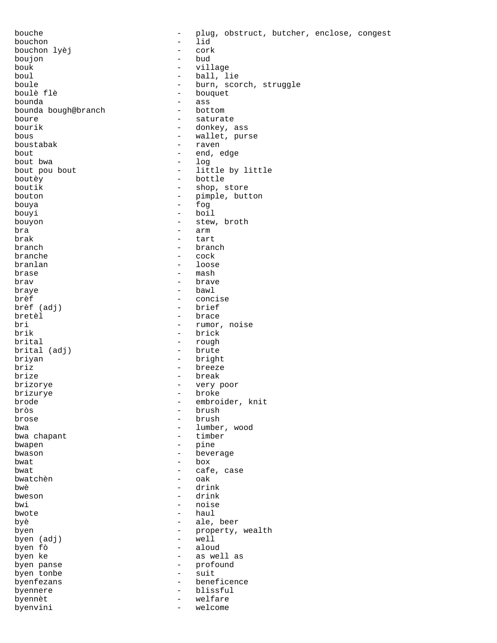bouchon - lid bouchon lyèj - cork boujon - bud bouk - village boul - ball, lie<br>boule - burn, sco boulè flè - bouquet bounda bough@branch boure - saturate bous  $-$  wallet, purse boustabak - raven bout - end, edge bout bwa<br>bout pou bout bout pou bout  $-$  little by little boutey  $-$  bottle boutèy - bottle boutik - shop, store<br>bouton - pimple, but bouya bouyi - boil bouyon - stew, broth bra - arm brak - tart<br>branch - bran<br>- bran branch - branch branlan - loose brase - mash  $braw$  -  $braw$ <br> $braw$  -  $baw$ braye - bawl brèf - concise brèf (adj)<br>bretèl bretèl - brace bri - rumor, noise<br>brik - brick<br>- brick brik - brick - brick - brick - brick - rough brital (adj) briyan - bright briz **breeze** brize - break - break - break - break - break - break - break - break - break - break - break - break - break <br>- brizorve - break - break - break - break - break - break - break - break - break - break - break - break - br brizorye - very poor brizurye - broke brode - embroider, knit<br>
broks - embroider, knit<br>
- brush bròs - brush brose - brush bwa chapant bwapen - pine bwason - beverage bwat - box bwat - cafe, case bwatchèn bwè - drink<br>bweson - drink<br>- drink  $b$ weson - drink  $-$  drink  $-$  noise bwi - noise bwote - haul bwote - haul byè - ale, beer byen (adj)<br>byen fò byen fò - aloud byen panse  $-$  profound byen tonbe  $\overline{\phantom{0}}$  - suit hyperfezans  $\overline{\phantom{0}}$  - hene byenfezans - beneficence byennere - blissful byennèt - welfare byenvini - welcome - welcome -

bouche - plug, obstruct, butcher, enclose, congest boule the set of the burn, scorch, struggle<br>boule fle the set of the bouquet - ass<br>- bottom - donkey, ass - pimple, button<br>- fog - cock - rough<br>- brute - lumber, wood<br>- timber - property, wealth<br>- well - as well as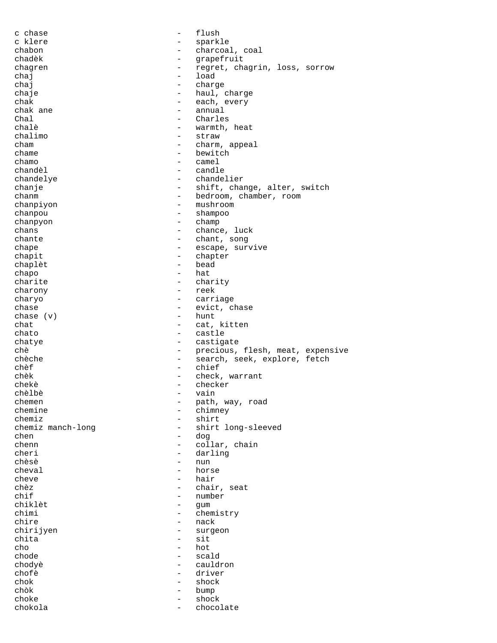c chase  $-$  flush c klere  $\qquad \qquad -$  sparkle chabon - charcoal, coal chadèk - grapefruit chagren - regret, chagrin, loss, sorrow<br>
chai chaj - load<br>chaj - charc chaj - charge chaje - haul, charge<br>
chak - each, every chak - each, every chak - each, every chak ane chak ane  $\begin{array}{ccc} \text{chak} & \text{an} & \text{an} & \text{an} \\ \text{Chal} & \text{on} & \text{on} & \text{on} \\ \end{array}$ Chal - Charles<br>
chalè - warmth. chalè - warmth, heat<br>
chalimo - straw - straw - straw cham - charm, appeal  $\begin{array}{ccc}\n\text{chame} & - & \text{bewitch} \\
\text{chamo} & - & \text{camel}\n\end{array}$ chamo - camel chandèl - candle chandelye - chandelier chanje - shift, change, alter, switch<br>
- bedroom, chamber, room<br>
- bedroom, chamber, room chanm  $\frac{1}{2}$  - bedroom, chamber, room chanpiyon - mushroom -- mushroom chanpou - shampoo chanpyon - champ chans - chance, luck chante - chant, song chape  $-$  escape, survive chapit - chapter chaplèt chapo - hat charite - charity - charity - charity - charity - charity - charity - charity - charity - charity charony charyo - carriage chase  $\mathbf{v}$  = evict, chase chase  $\mathbf{v}$  = evict, chase chase  $(v)$ chat - cat, kitten chato - castle chatye - castigate chè  $-$  precious, flesh, meat, expensive chèche - search, seek, explore, fetch chèf - chief - chief - check chèk - check, warrant - check, warrant - checker - checker<br>- vain chèlbè - vain chemen - path, way, road<br>
chemine - chimney<br>
- chimney chemine - chimney<br>chemiz - chimney<br>- shirt chemiz manch-long - shirt<br>chemiz manch-long - shirt - shirt long-sleeved chen - dog<br>
chenn - coll chenn - collar, chain<br>
cheri - darling<br>
- darling - darling chèsè - nun cheval - horse cheve - hair chèz - chair, seat - number<br>- <sup>cum</sup> chiklèt - gum chimi - chemistry<br>chire - mack chire - nack<br>chirijyen - surge - surgeon chita - sit cho - hot - hot - hot - hot - scale - scald chodyè - cauldron chofè - driver chok - shock - shock - shock - shock - shock - shock - shock - shock - shock - shock - shock - shock - shock - shock - shock - shock - shock - shock - shock - shock - shock - shock - shock - shock - shock - shock - shock -- bump  $\begin{tabular}{ccc} choke & & \multicolumn{2}{c|}{-} & shock \\ \end{tabular}$ chokola - chocolate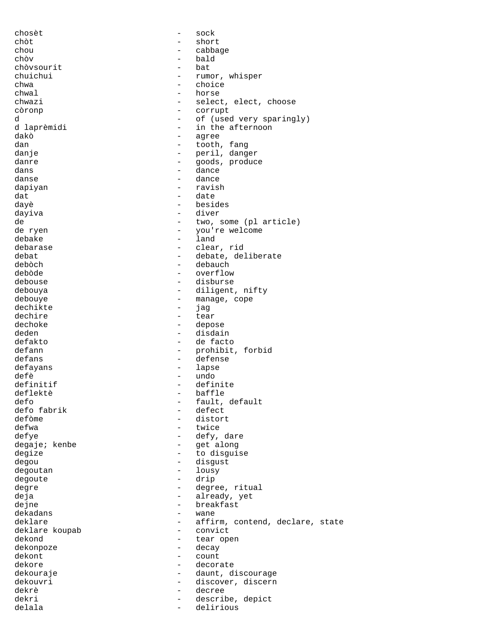| chosèt         | $\overline{\phantom{0}}$ | sock                            |
|----------------|--------------------------|---------------------------------|
| chòt           | $\equiv$                 | short                           |
| chou           | $\overline{\phantom{0}}$ | cabbage                         |
| chòv           | $\overline{\phantom{0}}$ | bald                            |
| chòvsourit     | $\overline{\phantom{0}}$ | bat                             |
| chuichui       |                          | rumor, whisper                  |
| chwa           | $\overline{\phantom{0}}$ | choice                          |
| chwal          | $\qquad \qquad -$        | horse                           |
| chwazi         |                          | select, elect, choose           |
|                |                          |                                 |
| còronp         |                          | corrupt                         |
| d              | $\overline{\phantom{0}}$ | of (used very sparingly)        |
| d laprèmidi    | $\qquad \qquad -$        | in the afternoon                |
| dakò           |                          | agree                           |
| dan            |                          | tooth, fang                     |
| danje          | $\overline{\phantom{0}}$ | peril, danger                   |
| danre          | $\qquad \qquad -$        | goods, produce                  |
| dans           | $\overline{\phantom{0}}$ | dance                           |
| danse          | $\overline{\phantom{0}}$ | dance                           |
| dapiyan        | $\overline{\phantom{0}}$ | ravish                          |
| dat            | $\overline{\phantom{0}}$ | date                            |
| dayè           | $\overline{\phantom{0}}$ | besides                         |
| dayiva         | $\overline{\phantom{0}}$ | diver                           |
| de             | $\equiv$                 | two, some (pl article)          |
| de ryen        | $\qquad \qquad -$        | you're welcome                  |
| debake         | $\overline{\phantom{0}}$ | land                            |
| debarase       | $\overline{\phantom{0}}$ | clear, rid                      |
|                |                          |                                 |
| debat          |                          | debate, deliberate              |
| debòch         | $-$                      | debauch                         |
| debòde         |                          | overflow                        |
| debouse        | $\qquad \qquad -$        | disburse                        |
| debouya        | $\overline{\phantom{0}}$ | diligent, nifty                 |
| debouye        | $\qquad \qquad -$        | manage, cope                    |
| dechikte       | $\qquad \qquad -$        | jag                             |
| dechire        | $\overline{\phantom{0}}$ | tear                            |
| dechoke        |                          | depose                          |
| deden          | $\overline{\phantom{a}}$ | disdain                         |
| defakto        | $-$                      | de facto                        |
| defann         |                          | prohibit, forbid                |
| defans         |                          | defense                         |
| defayans       | $\overline{\phantom{a}}$ | lapse                           |
| defè           | $\qquad \qquad -$        | undo                            |
| definitif      | $\overline{\phantom{0}}$ | definite                        |
|                |                          |                                 |
| deflektè       |                          | baffle                          |
| defo           | $\overline{\phantom{0}}$ | fault, default                  |
| defo fabrik    | $\qquad \qquad -$        | defect                          |
| defòme         | $\overline{\phantom{0}}$ | distort                         |
| defwa          |                          | twice                           |
| defye          |                          | defy, dare                      |
| degaje; kenbe  | $\overline{\phantom{0}}$ | get along                       |
| degize         | $\overline{\phantom{0}}$ | to disguise                     |
| degou          | $\overline{\phantom{0}}$ | disgust                         |
| degoutan       | $-$                      | lousy                           |
| degoute        | $-$                      | drip                            |
| degre          | $-$                      | degree, ritual                  |
| deja           | $\qquad \qquad -$        | already, yet                    |
| dejne          |                          | breakfast                       |
| dekadans       | $\overline{\phantom{0}}$ | wane                            |
| deklare        |                          |                                 |
|                | $\qquad \qquad -$        | affirm, contend, declare, state |
| deklare koupab | $\overline{\phantom{0}}$ | convict                         |
| dekond         |                          | tear open                       |
| dekonpoze      | $\overline{\phantom{a}}$ | decay                           |
| dekont         | $-$                      | count                           |
| dekore         | $\overline{\phantom{0}}$ | decorate                        |
| dekouraje      |                          | daunt, discourage               |
| dekouvri       | $\overline{\phantom{0}}$ | discover, discern               |
| dekrè          | $-$                      | decree                          |
| dekri          | $\qquad \qquad -$        | describe, depict                |
| delala         | $\overline{\phantom{0}}$ | delirious                       |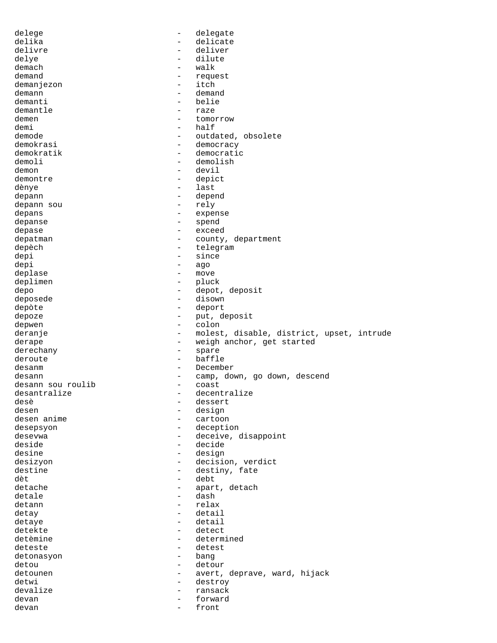delege - delegate - delicate<br>- deliver delivre - deliver delye - dilute demach - walk - request<br>- itch demanjezon<br>demann demann - demand<br>demanti - belie - belie demantle  $\qquad \qquad -$  raze demen - tomorrow<br>demi - half demi - half<br>demode - outdate - outdate - outdated, obsolete demokrasi - democracy demokratik - democratic demoli - demolish demon - devil demontre depict dènye - last depann - depend depann sou depans - expense depanse - spend depase - exceed depatman department - county, department depèch depèch - telegram depi - since<br>depi - since<br>depi - ago depi - ago deplase - move deplimen - pluck depo - depot, deposit<br>deposede - disown - disown - disown depòte - deport depoze - put, deposit<br>depwen - put, deposit depwen - colon deranje en entitle controller and the molest, disable, district, upset, intrude derape  $-$  weigh anchor, get started derechany - spare deroute - baffle desanm - December desann - camp, down, go down, descend<br>desann sou roulib - coast - coast desann sou roulib desantralize - decentralize<br>desè - dessert<br>- dessert desè - dessert desen anime en anime en anime en anime en anime en anime en anime en anime en anime en anime en anime en anime<br>
desen anime en anime en anime en anime en anime en anime en anime en anime en anime en anime en anime en anim - cartoon desepsyon - deception desevwa - deceive, disappoint deside - decide desine - design desizyon - decision, verdict destine  $\overline{d}$  - destiny, fate<br>det - debt dèt - debt detache - apart, detach<br>detale - apart, detach detale - dash - dash - dash - relax detann - relations and the contract of the contract of the contract of the contract of the contract of the contract of the contract of the contract of the contract of the contract of the contract of the contract of the con detay - detail detaye - detail - detect detèmine  $\qquad \qquad -$  determined deteste - detest<br>detonasyon - bang - bang detonasyon detou - detour detounen - avert, deprave, ward, hijack<br>detwi - destroy - destroy - destroy devalize - ransack devan - forward devan - front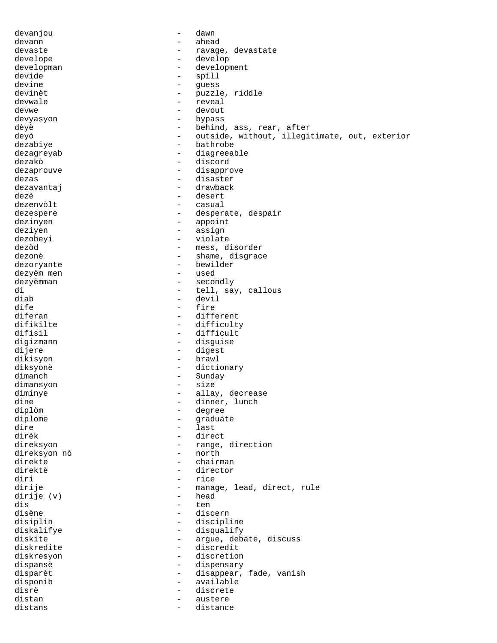| devanjou     |                          | dawn                                          |
|--------------|--------------------------|-----------------------------------------------|
| devann       | $\overline{\phantom{0}}$ | ahead                                         |
| devaste      |                          | ravage, devastate                             |
| develope     | -                        | develop                                       |
| developman   | -                        | development                                   |
|              |                          |                                               |
| devide       | -                        | spill                                         |
| devine       | $\qquad \qquad -$        | guess                                         |
| devinèt      | $\qquad \qquad -$        | puzzle, riddle                                |
| devwale      |                          | reveal                                        |
| devwe        | -                        | devout                                        |
| devyasyon    | $\overline{\phantom{0}}$ | bypass                                        |
| dèyè         | $\overline{\phantom{0}}$ | behind, ass, rear, after                      |
|              |                          |                                               |
| deyò         | $\qquad \qquad -$        | outside, without, illegitimate, out, exterior |
| dezabiye     | $\overline{\phantom{0}}$ | bathrobe                                      |
| dezagreyab   | $\overline{\phantom{0}}$ | diagreeable                                   |
| dezakò       | $\overline{\phantom{0}}$ | discord                                       |
| dezaprouve   | $\overline{\phantom{0}}$ | disapprove                                    |
| dezas        | $\overline{\phantom{0}}$ | disaster                                      |
|              | $\overline{\phantom{0}}$ | drawback                                      |
| dezavantaj   |                          |                                               |
| dezè         | $\overline{\phantom{0}}$ | desert                                        |
| dezenvòlt    | $\overline{\phantom{0}}$ | casual                                        |
| dezespere    | $\overline{\phantom{0}}$ | desperate, despair                            |
| dezinyen     | $\qquad \qquad -$        | appoint                                       |
| deziyen      | $\qquad \qquad -$        | assign                                        |
| dezobeyi     | $\qquad \qquad -$        | violate                                       |
| dezòd        |                          | mess, disorder                                |
|              | $\qquad \qquad -$        |                                               |
| dezonè       | $\overline{\phantom{0}}$ | shame, disgrace                               |
| dezoryante   | $\qquad \qquad -$        | bewilder                                      |
| dezyèm men   | -                        | used                                          |
| dezyèmman    | -                        | secondly                                      |
| di           | $\qquad \qquad -$        | tell, say, callous                            |
| diab         | $\qquad \qquad -$        | devil                                         |
| dife         | -                        | fire                                          |
| diferan      | -                        | different                                     |
| difikilte    | $\qquad \qquad -$        | difficulty                                    |
| difisil      | $\overline{\phantom{0}}$ | difficult                                     |
|              |                          |                                               |
| digizmann    | $\overline{\phantom{0}}$ | disguise                                      |
| dijere       | $\qquad \qquad -$        | digest                                        |
| dikisyon     | $\qquad \qquad -$        | brawl                                         |
| diksyonè     | $\qquad \qquad -$        | dictionary                                    |
| dimanch      | $\qquad \qquad -$        | Sunday                                        |
| dimansyon    | $\overline{\phantom{0}}$ | size                                          |
| diminye      | $\overline{\phantom{0}}$ | allay, decrease                               |
| dine         | $\overline{\phantom{0}}$ | dinner, lunch                                 |
|              |                          |                                               |
| diplòm       | $\overline{\phantom{0}}$ | degree                                        |
| diplome      | $\overline{\phantom{0}}$ | graduate                                      |
| dire         | $\qquad \qquad -$        | last                                          |
| dirèk        | $\qquad \qquad -$        | direct                                        |
| direksyon    | $\qquad \qquad -$        | range, direction                              |
| direksyon nò | $\qquad \qquad -$        | north                                         |
| direkte      | $\overline{\phantom{0}}$ | chairman                                      |
| direktè      | $\overline{\phantom{0}}$ | director                                      |
| diri         | $\qquad \qquad -$        | rice                                          |
|              |                          |                                               |
| dirije       | $\qquad \qquad -$        | manage, lead, direct, rule                    |
| dirije (v)   | $\overline{\phantom{0}}$ | head                                          |
| dis          | $\qquad \qquad -$        | ten                                           |
| disène       | $\qquad \qquad -$        | discern                                       |
| disiplin     | $\qquad \qquad -$        | discipline                                    |
| diskalifye   | $\overline{\phantom{0}}$ | disqualify                                    |
| diskite      | $\qquad \qquad -$        | argue, debate, discuss                        |
| diskredite   | $\qquad \qquad -$        | discredit                                     |
| diskresyon   | $\qquad \qquad -$        | discretion                                    |
| dispansè     | $\qquad \qquad -$        | dispensary                                    |
|              | $\qquad \qquad -$        |                                               |
| disparèt     |                          | disappear, fade, vanish                       |
| disponib     | $\qquad \qquad -$        | available                                     |
| disrè        | $\qquad \qquad -$        | discrete                                      |
| distan       | $\overline{\phantom{0}}$ | austere                                       |
| distans      | $\qquad \qquad -$        | distance                                      |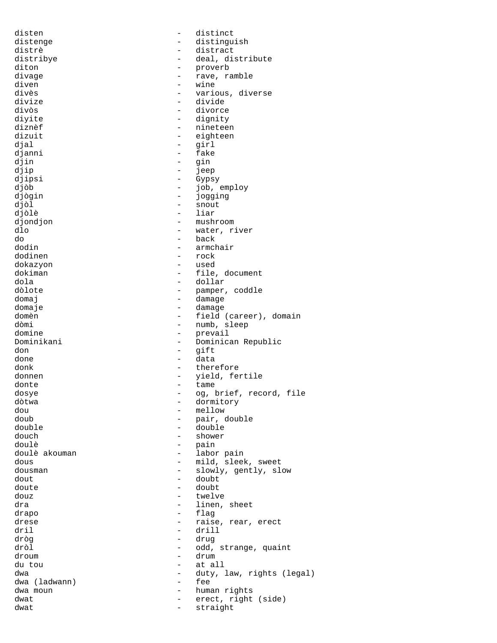disten - distinct<br>distenge - distingu - distinguish distrè - distract - deal, distribute diton - proverb divage - rave, ramble diven - wine divès - various, diverse divize - divide divòs - divorce divite  $-$  dignity diznèf<br>dizuit - nineteen<br>dizuit - eighteen - eighteen djal - girl djanni - fake<br>djin - gin djin - gin djip - jeep djipsi - Gypsy<br>djòb - job, djòb - job, employ djògin - jogging djòl - snout - liar djondjon - mushroom dlo - water, river do - back - armchair dodinen - rock dokazyon - used dokiman - file, document dola<br>dola - dollar - dollar dola - dollar dòlote - pamper, coddle domaj - damage domaje - damage - field (career), domain dòmi - numb, sleep domine - prevail Dominikani - Dominican Republic don - gift done - data donk - therefore donnen - yield, fertile donte  $-$  tame dosye  $-$  og, brief, record, file dòtwa - dormitory dou - mellow doub - pair, double double - double douch - shower doulè double de la comme de la pain doulè akouman  $\qquad \qquad -$  labor pain dous - mild, sleek, sweet dousman - slowly, gently, slow dout - doubt doute - doubt douz - twelve dra - linen, sheet<br>drapo - linen, sheet<br>- flag drapo - flag drese  $\begin{array}{ccc} - & \text{raise, rear, erect} \\ - & \text{drill} \end{array}$ dril - drill dròg - drug dròl - odd, strange, quaint droum - drum du tou - at all dwa (ladwann) - duty, law, rights (legal)<br>dwa (ladwann) - fee dwa (ladwann) dwa moun - human rights<br>dwat - human rights<br>- erect right dwat  $-$  erect, right (side) dwat - straight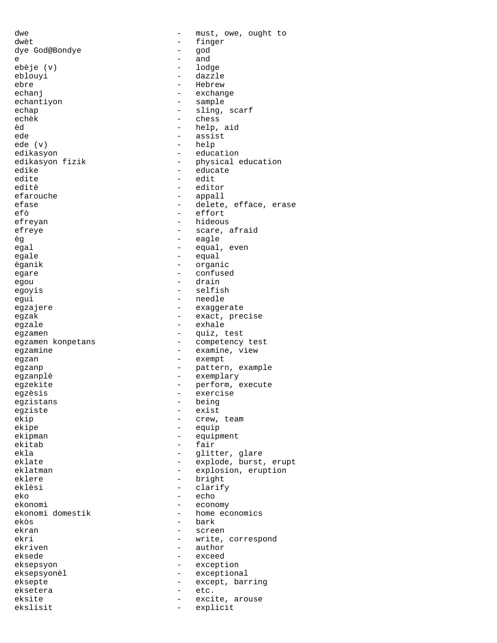dwe  $\qquad \qquad -$  must, owe, ought to dwèt - finger<br>dye God@Bondye - and - and dye God@Bondye - god e and and a set of  $\sim$  and  $\sim$  and  $\sim$ ebèje (v) - lodge eblouyi - dazzle - dazzle - dazzle - dazzle - dazzle - dazzle - dazzle - dazzle - dazzle - dazzle - dazzle - d ebre - Hebrew - Hebrew - Hebrew - Hebrew - Hebrew - Hebrew - Hebrew - Hebrew - Hebrew - Hebrew - Hebrew - Hebrew - Hebrew - Hebrew - Hebrew - Hebrew - Hebrew - Hebrew - Hebrew - Hebrew - Hebrew - Hebrew - Hebrew - Hebrew echanj - exchange echantiyon - sample echap - sling, scarf echèk - chess<br>èd - help èd - help, aid - assist ede (v) - help edikasyon - education edikasyon fizik - physical education<br>
edike - educate<br>
- educate edike - educate edite - edit editè division de la contrata del contrata del contrata del contrata del contrata del contrata del contrata de<br>
en la contrata del contrata del contrata del contrata del contrata del contrata del contrata del contrata del efarouche - appall efase - delete, efface, erase - effort efreyan - hideous efreye  $-$  scare, afraid èg - eagle egal egal - equal, even egale - equal èganik - organic egare - confused<br>egant - confused egou - drain - drain<br>egovis - drain - selfi egoyis - selfish<br>equi - selfish<br>equi - needle egui - needle egzajere egzajere - exaggerate egzak egzak - exact, precise egzale - exhale egzamen - quiz, test egzamine  $-$  examine, view egzan - exempt egzanp - pattern, example egzanplè - exemplary egzekite - perform, execute<br>egzekite - perform, execute egzèsis - exercise egzistans - being<br>eqziste - exist egziste ekip - crew, team<br>ekipe - crew, team<br>- equip - equip ekipman - equipment<br>ekitab - fair ekitab - fair<br>ekla - dlitt eklate - explode, burst, erupt eklatman - explosion, eruption<br>eklere - hright - hright eklere - bright - bright<br>eklèsi - clarif clarify eko - echo - echo - echo - echo - echo - echo - echo - echo - echo - echo - echo - echo - echo - echo - echo - echo - echo - echo - echo - echo - echo - echo - echo - echo - echo - echo - echo - echo - echo - echo - echo ekonomi domestik<br>ekòs ekòs - bark screen ekri - write, correspond ekriven - author eksede - exceed<br>eksepsyon - except. eksepsyon - exception eksepsyonèl - exceptional eksepte - except, barring eksetera - etc. - excite, arouse ekslisit - explicit

- competency test - glitter, glare - economy<br>- home economics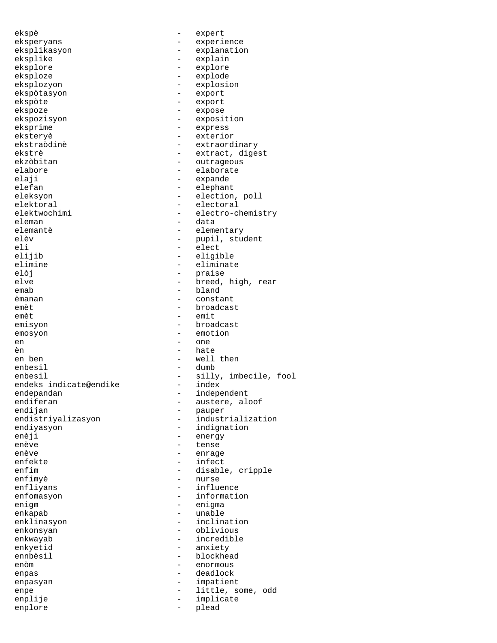ekspè - expert eksperyans - experience eksplikasyon - explanation eksplike - explain<br>eksplore - explore - explore eksplore - explore eksploze - explode<br>eksplozyon - explosi - explosion<br>- export ekspòtasyon<br>ekspòte ekspòte - export ekspoze - expose ekspozisyon - exposition eksprime - express eksteryè - exterior ekstraòdinè  $-$  extraordinary ekstrè  $-$  extract, digest ekzòbitan  $-$  outrageous elabore - elaborate<br>elaii - expande elaji - expande elefan - expande elefan elefan - elephant - elephant<br>eleksyon - - election eleksyon - election, poll elektoral - electoral - electoral<br>elektwochimi - electro-c eleman - data elemantè - elementary elèv - pupil, student - pupil, student - pupil, student - pupil, student - pupil, student - pupil, student - pupil, student - pupil, student - pupil, student - pupil, student - pupil, student - pupil, student - pupil, stud - elect elijib - eligible elimine - eliminate elòj - praise elve - breed, high, rear<br>emab - bland<br>- bland emab - bland<br>
emanan - consta èmanan - constant emèt - broadcast - emit emisyon - broadcast emosyon - emotion en and - one - one - one - one - one - one - one - one - one - one - one - one - one - one - one - one - one - one - one - one - one - one - one - one - one - one - one - one - one - one - one - one - one - one - one - one - hate en ben  $-$  well then enbesil - dumb enbesil - silly, imbecile, fool - silly, imbecile, fool endeks indicate@endike - index endeks indicate@endike<br>endepandan endepandan - independent endiferan - austere, aloof endijan - pauper<br>endistriyalizasyon - industr endistriyalizasyon - industrialization<br>endiyasyon - indignation - indignation enèji - energy<br>enève - tense enève - tense - enrage enfekte - infect enfim - disable, cripple<br>enfimyè - murse - murse enfimyè - nurse enfliyans - influence enfomasyon - information<br>enigm - enigma enigm - enigma enkapab - unable<br>enklinasyon - - inclina enklinasyon - inclination - oblivious enkwayab - incredible enkyetid - anxiety<br>ennbèsil - blockhea - blockhead enòm - enormous enpas - deadlock<br>enpasyan - deadlock<br>enpasyan - impatien enpasyan - impatient enpe - little, some, odd enplije - implicate enplore

- electro-chemistry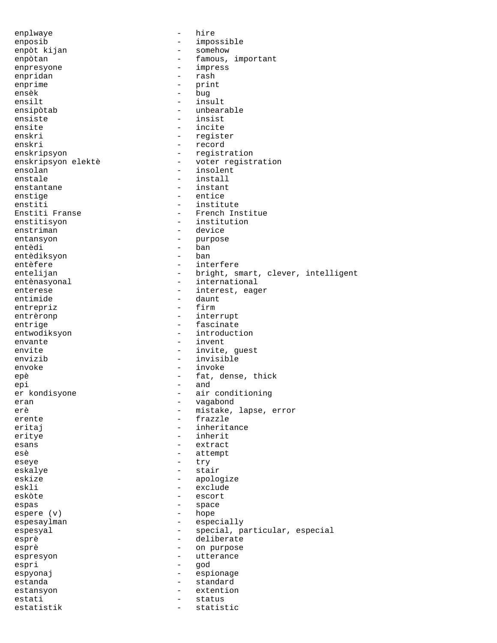enplwaye - hire enposib - impossible - somehow enpòtan  $-$  famous, important enpresyone - impress enpridan - rash - rash - rash - rash - rash - rash - rash - rash - rash - rash - rash - rash - rash - rash - rash - rash - rash - rash - rash - rash - rash - rash - rash - rash - rash - rash - rash - rash - rash - rash - r enprime<br>ensèk ensèk - bug<br>ensilt - ins - insult ensipòtab - unbearable ensiste - insist<br>ensite - incite ensite - incite - register enskri - record enskripsyon enskripsyon - registration enskripsyon elektè  $-$  voter registration<br>ensolan  $-$  insolent ensolan - insolent<br>enstale - install - install enstale - install<br>enstantane - instant - instant enstige - entice enstiti - institute<br>Enstiti Franse - French Ins - French Institue enstitisyon - institution enstriman - device entansyon - purpose - ban<br>- ban entèdiksyon entèfere - interfere - bright, smart, clever, intelligent entènasyonal entènasyonal entènasyonal entènentierale de la materiale de la materiale de la materiale de la ma enterese - interest, eager<br>entimide - daunt - daunt - daunt<br>- firm entrepriz<br>entrèronp - interrupt entrige - fascinate<br>entwodiksyon - fascinate - fascinate - introduction envante  $\qquad \qquad - \qquad \qquad \text{invent}$ envite  $-$  invite, quest envizib - invisible envoke - invoke epè  $-$  fat, dense, thick epi - and<br>er kondisyone - air - air conditioning eran - vagabond erè - mistake, lapse, error<br>erente - frazzle - erente erente - frazzle<br>eritaj - inherita - inheritance eritye - inherit esans - extract esè - attempt eseye - try eskalye - stair - stair eskize - apologize eskli – exclude<br>eskòte – escort – escort eskòte - escort espas - space espere (v) - hope - space - hope - hope - hope - hope - hope - hope - hope - hope - hope - hope - hope - hope - hope - hope - hope - hope - hope - hope - hope - hope - hope - hope - hope - hope - hope - hope espere (v) espesaylman - especially espesyal  $-$  special, particular, especial esprè deliberate esprè  $-$  on purpose espresyon - utterance espri - god espyonaj espionage - espionage estanda - standard estansyon - extention estati - status - status estatistik - statistic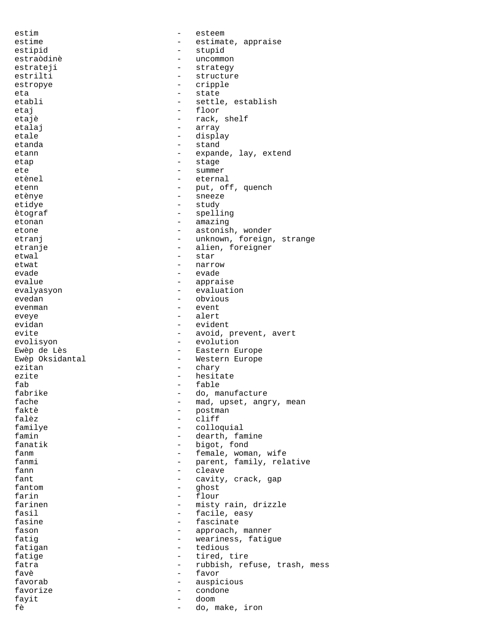estim esteem esteem esteem esteem esteem esteem esteem esteem esteem esteem esteem esteem esteem esteem esteem estime  $-$  estimate, appraise estipid - stupid estraòdinè  $-$  uncommon estrateji - strategy<br>estrilti - structure estrilti - structure estropye - cripple eta - state - settle, establish etaj etaj en la estas en la estas en la estas en la estas en la estas en la estas en la estas en la estas en l etajè  $-$  rack, shelf etalaj - array etale - display - display etanda - stand etann etann - expande, lay, extend etap - stage - stage ete - summer etènel - eternal etenn - put, off, quench etènye - sneeze etidye - study ètograf - spelling etonan - amazing etone - astonish, wonder etranj - unknown, foreign, strange etranje - alien, foreigner etwal - star etwat - narrow - narrow - narrow - narrow - narrow - narrow - narrow - narrow - narrow - narrow - narrow - narrow - narrow - narrow - narrow - narrow - narrow - narrow - narrow - narrow - narrow - narrow - narrow - narrow evade - evade - appraise evalyasyon - evaluation<br>evedan - evaluation<br>- obvious evedan - obvious evenman - event eveye - alert evidan evident - evident evite  $-$  avoid, prevent, avert evolisyon - evolution<br>Ewèp de Lès - - Eastern El - Eastern Europe Ewèp Oksidantal  $\qquad \qquad -$  Western Europe ezitan - chary<br>ezite - hesitan - chary<br>- hesitan - hesitan ezite - hesitate fab<br/>
fable table table table table table table table table table table table<br/>  $\sim$  do, may be the set of the set of the set of the<br/>  $\sim$  100  $\mu$  m  $\sim$ - do, manufacture fache  $\begin{array}{cccc} - & \mod, & \text{upset}, & \text{angry}, & \text{mean} \\ \text{faktè} & - & \text{postman} \end{array}$ faktè - postman falèz - cliff - colloquial famin  $-$  dearth, famine fanatik - bigot, fond fanm  $-$  female, woman, wife fanmi  $-$  parent, family, relative fann - cleave fant  $-$  cavity, crack, gap fantom - ghost farin - flour - flour - flour - flour - flour - flour - flour - flour - flour - flour - flour - flour - flour - flour - flour - flour - flour - flour - flour - flour - flour - flour - flour - flour - flour - flour - flour farinen - misty rain, drizzle<br>fasil - facile easy fasil  $-$  facile, easy<br>fasine  $-$  fascinate  $-$  fascinate fasine  $\begin{array}{ccc} 1 & - & - \\ - & - & - \\ - & - & - \\ - & - & - \\ - & - & - \\ - & - & - \\ - & - & - \\ - & - & - \\ - & - & - \\ - & - & - \\ - & - & - \\ - & - & - \\ - & - & - \\ - & - & - \\ - & - & - \\ - & - & - \\ - & - & - \\ - & - & - \\ - & - & - \\ - & - & - \\ - & - & - \\ - & - & - \\ - & - & - \\ - & - & - \\ - & - & - \\ - & - & - \\ - & - & - \\ - & - & - \\ - & - & - \\ - & - & - \\ - & - & - \\ - & - & - \\ - & - & - \\ - & - & - \\ - &$ - approach, manner fatig<br>fatigan - weariness, fatigue<br>extensions - tedious fatigan - tedious fatige  $\qquad \qquad - \qquad \text{tired, tire}$ fatra  $-$  rubbish, refuse, trash, mess favè - favor favorab - auspicious favorize - condone fayit - doom fè - do, make, iron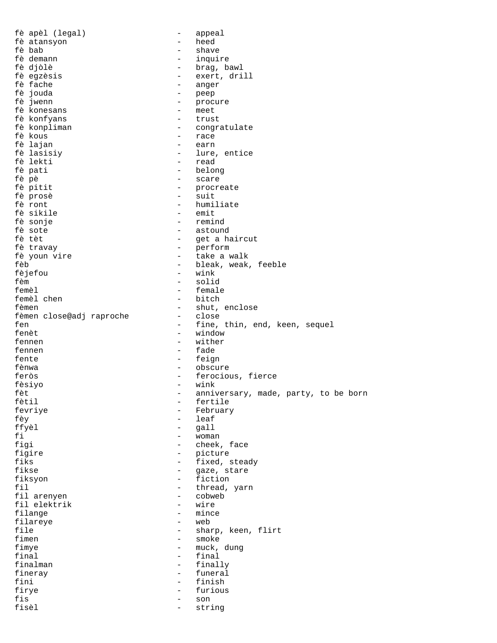fè apèl (legal) - appeal fè atansyon - heed fè bab - shave fè demann - inquire fè djòlè - brag, bawl fè egzèsis - exert, drill fè fache  $\begin{array}{ccc} - & \text{anger} \\ \text{fe} & - & \text{peep} \end{array}$ fè jouda - peep - procure<br>- meet fè konesans - meet fè konfyans fè konpliman - congratulate - race<br>- earn fè lajan - earn fè lasisiy - lure, entice fè lekti - read fè pati - belong fè pè - scare - procreate<br>- suit fè prosè - suit - humiliate<br>- emit fè sikile<br>fè sonje fè sonje - remind fè sote  $\begin{array}{ccc} 1 & - & - & - \\ 1 & - & - & - \\ 1 & - & - & - \\ 1 & - & - & - \\ 1 & - & - & - \\ 1 & - & - & - \\ 1 & - & - & - \\ 1 & - & - & - \\ 1 & - & - & - \\ 1 & - & - & - \\ 1 & - & - & - \\ 1 & - & - & - \\ 1 & - & - & - \\ 1 & - & - & - \\ 1 & - & - & - \\ 1 & - & - & - \\ 1 & - & - & - \\ 1 & - & - & - \\ 1 & - & - & - \\ 1 & - & - & - \\ 1 & - & - & - \\ 1 & - & - & - \\ 1 & - & - & -$ - get a haircut fè travay - perform fè youn vire  $-$  take a walk fèb - bleak, weak, feeble fèjefou - wink fèm - solid femèl - female - bitch fèmen - shut, enclose fèmen close@adj raproche fen - fine, thin, end, keen, sequel<br>fenèt - window - window fennen - wither fennen - fade fente  $-$  feign fènwa - obscure feròs - ferocious, fierce fèsiyo - wink fèt  $-$  anniversary, made, party, to be born<br>fètil  $-$  fertile - fertile<br>- February fevriye - February fèy - leaf ffyèl - gall fi - woman<br>fiqi - cheek - cheek, face figire - picture fiks  $-$  fixed, steady fikse - gaze, stare fiksyon - fiction fil - thread, yarn fil arenyen - cobweb fil elektrik - wire<br>filange - mince filange - mince filareye<br>file file  $\qquad \qquad -$  sharp, keen, flirt<br>fimen  $\qquad \qquad -$  smoke - smoke fimye - muck, dung  $final$  -  $final$ finalman - finally fineray **contract to the funeral** fini - finish - finish<br>firye - furious firye - furious - furious - furious - furious - furious - furious - furious - furious - furious - furious - furious - furious - furious - furious - furious - furious - furious - furious - furious - furious - furious - furi fis - son fisèl - string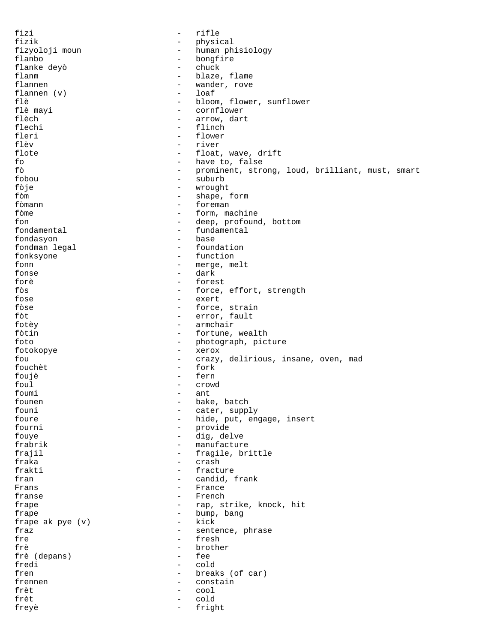fizi - rifle fizik - physical<br>fizyoloji moun - human ph - human phisiology flanbo - bongfire<br>flanke devò - chuck flanke deyò - chuck flanm  $\begin{array}{ccc} - & - & - \\ - & \text{black, flow} \end{array}$  flannen - wander, rove<br>- loaf flannen (v)<br>flè flè  $-$  bloom, flower, sunflower<br>flè mayi  $-$  cornflower flè mayi - cornflower flèch - arrow, dart flechi - flinch<br>fleri - flower - flower flèv - river flote  $\qquad \qquad -$  float, wave, drift fo - have to, false fò - prominent, strong, loud, brilliant, must, smart fobou - suburb - suburb<br>fòie - wrought fòje - wrought fòm - shape, form fòmann - foreman - form, machine fon  $-$  deep, profound, bottom  $-$  fundamental  $-$  fundamental - fundamental<br>- base fondasyon - base<br>fondman legal - foundation fondman legal fonksyone - function fonn - merge, melt fonse - dark forè - forest fòs - force, effort, strength fose - exert fòse - force, strain - error, fault fotèy - armchair fòtin  $-$  fortune, wealth foto  $-$  photograph, picture fotokopye - xerox fou - crazy, delirious, insane, oven, mad fouchèt - fork foujè - fern foul - crowd  $\begin{matrix} - & \\ - & \\ - & \\ - \end{matrix}$  hake founen  $\begin{array}{ccc} - & \text{bake, batch} \\ - & \text{cater, supp} \end{array}$ founi - cater, supply<br>foure - hide, put, en foure  $\begin{array}{cccc} - & \text{ hide, put, engage, insert} \\ - & \text{provide} \end{array}$ - provide fouye - dig, delve frabrik - manufacture frajil  $-$  fragile, brittle fraka - crash frakti - fracture fran - candid, frank Frans - France - France - France - France - France - France - France - France - France - France - France - France - France - France - France - France - France - France - France - France - France - France - France - France franse <br/> - French + French + French + French + French + French + French + French + French + French + French + French + French + French + French + French + French + French + French + French + French + French + French + frape  $-$  rap, strike, knock, hit frape <br>frape ak pye $(v)$  - bump, bang <br> - kick - kick frape ak pye  $(v)$  -<br>fraz fraz  $-$  sentence, phrase fre - fresh frè  $\begin{array}{ccc} 1 & - & - & - \\ 1 & - & - & - \\ 1 & - & - & - \\ 1 & - & - & - \end{array}$ frè (depans) fredi - cold fren - breaks (of car) frennen - constain frèt d'ans de la cool frèt - cold freyè - fright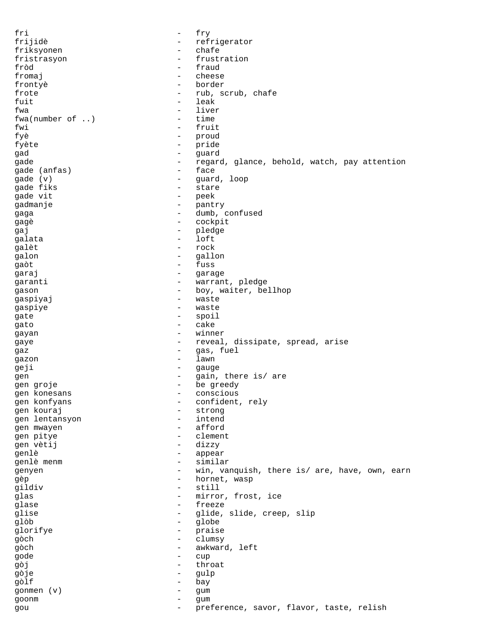fri - fry frijidè - refrigerator friksyonen - chafe fristrasyon - frustration fròd - fraud fromaj en de la cheese de la cheese de la cheese de la cheese de la cheese de la cheese de la cheese de la che<br>En la cheese de la cheese de la cheese de la cheese de la cheese de la cheese de la cheese de la cheese de la frontyè - border frote  $-$  rub, scrub, chafe  $-$  rub, scrub, chafe  $-$  leak - leak fwa - liver<br>fwa (number of ..) - time  $fwa(number of ...)$ fwi - fruit fyè - proud fyète  $-$  pride gad - guard gade - regard, glance, behold, watch, pay attention<br>qade (anfas) - face gade (anfas) gade (v) - guard, loop gade fiks the start of the start of the start of the start of the start of the start of the start of the start gade vit  $\qquad \qquad -$  peek<br>gadmanie  $\qquad \qquad -$  pant gadmanje - pantry gaga - dumb, confused gagè de la cockpit de la cockpit gaj en el estado en el estado en el estado en el estado en el estado en el estado en el estado en el estado en<br>En el estado en el estado en el estado en el estado en el estado en el estado en el estado en el estado en el e qalata - loft galèt - rock galon - gallon - gaòt - fuss<br>garai - fuss - fuss - fuss garaj - garage garanti - warrant, pledge gason - boy, waiter, bellhop<br>qaspiyaj - waste - waste gaspiyaj - waste gaspiye - waste gate - spoil gato - cake gayan - winner gaye  $-$  reveal, dissipate, spread, arise gaz - gas, fuel gazon - lawn geji - gauge - gauge - gauge - gauge - gauge - gauge - gauge - gauge - gauge - gauge - gauge - gauge - gauge - <br>The set of the set of the set of the set of the set of the set of the set of the set of the set of the set of gen  $-$  gain, there is/are gen groje - be greedy gen konesans  $\overline{a}$  - conscious  $\overline{b}$  - conscious  $\overline{a}$  - conscious  $\overline{a}$ gen konfyans  $\begin{array}{ccc} - & \text{confident, rely} \\ - & \text{strong} \end{array}$ gen kouraj - strong gen lentansyon - intend gen mwayen gen pitye - clement gen vètij  $-$  dizzy genlè - appear genlè menm  $-$  similar genyen - win, vanquish, there is/ are, have, own, earn gèp  $-$  hornet, wasp gildiv - still glas - mirror, frost, ice glase - freeze<br>glise - dide glise - glide, slide, creep, slip<br>
alòb - globe glòb - globe glorifye - praise gòch - clumsy gòch - awkward, left gode - cup gòj - throat gòje - gulp gòlf - bay gonmen (v) - gum goonm - gum gou - preference, savor, flavor, taste, relish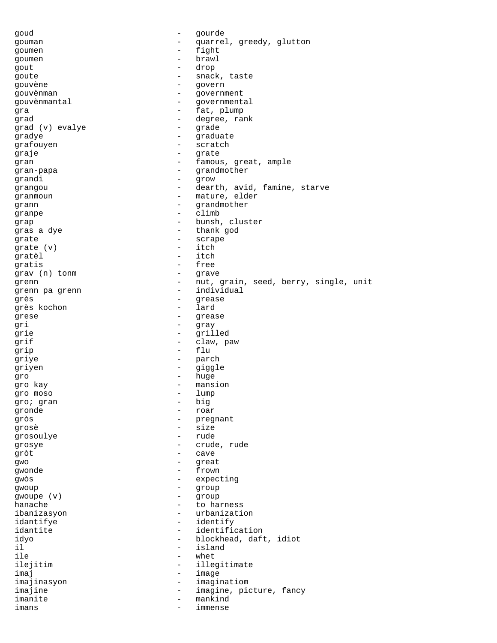goud - gourde gouman - quarrel, greedy, glutton<br>
- fight<br>
- fight goumen - fight goumen - brawl gout - drop<br>coute - space goute  $\qquad \qquad -$  snack, taste gouvène - govern<br>gouvènman - - governmen gouvènman - government gouvènmantal de contratte de la contratte de contratte de contratte de contratte de contratte de contratte de gra - fat, plump grad - degree, rank grad (v) evalye gradye - graduate grafouyen - scratch graje - grate gran  $-$  famous, great, ample gran-papa - grandmother<br>grandi - grandmother<br>arow - grow grandi - grow grangou - dearth, avid, famine, starve granmoun - mature, elder<br>
rann - mature, elder grann - grandmother<br>qranpe - climb granpe grap - bunsh, cluster gras a dye  $-$  thank god grate  $\begin{array}{ccc} \text{grade} & \text{ } & \text{ } \\ \text{ } & \text{ } & \text{ } \\ \text{ } & \text{ } & \text{ } \\ \text{ } & \text{ } & \text{ } \\ \text{ } & \text{ } & \text{ } \\ \text{ } & \text{ } & \text{ } \\ \text{ } & \text{ } & \text{ } \\ \text{ } & \text{ } & \text{ } \\ \text{ } & \text{ } & \text{ } \\ \text{ } & \text{ } & \text{ } \\ \text{ } & \text{ } & \text{ } \\ \text{ } & \text{ } & \text{ } \\ \text{ } & \text{ } & \text{ } \\ \text{ } & \text{ } & \text$ grate  $(v)$ gratèl - itch gratis - free grav (n) tonm - grave grenn - nut, grain, seed, berry, single, unit grenn pa grenn - individual<br>grès - individual<br>grès - grease grès - grease grès kochon grese - grease gri - gray grie - grilled qrif  $\qquad \qquad -$  claw, paw grip - flu griye - parch griyen - giggle gro - huge gro kay - mansion gro moso - lump gro; gran - big - big - big - big - big - big - big - big - big - big - big - big - big - big - big - big - big - big - big - big - big - big - big - big - big - big - big - big - big - big - big - big - big - big - big gronde - roar gròs - pregnant external size<br>
grosè de la participation de la participation de la participation de la participation de la participation de<br>
de la participation de la participation de la participation de la participation de la participati grosoulye grosye - crude, rude gròt - cave gwo - great gwonde - frown gwòs - expecting gwoup - group gwoupe (v) - group hanache - to harness<br>
ibanizasyon - to harness<br>
- urbanizati ibanizasyon - urbanization idantifye - identify idantite - identification idyo - blockhead, daft, idiot il  $\qquad \qquad -$  island<br>ile  $\qquad \qquad -$  whet - whet ilejitim - illegitimate imaj entre entre la contradicción de la contradicción de la contradicción de la contradicción de la contradicción de la contradicción de la contradicción de la contradicción de la contradicción de la contradicción de la co imajinasyon - imaginatiom imajine  $\qquad \qquad \qquad -$  imagine, picture, fancy imanite - mankind imans - immense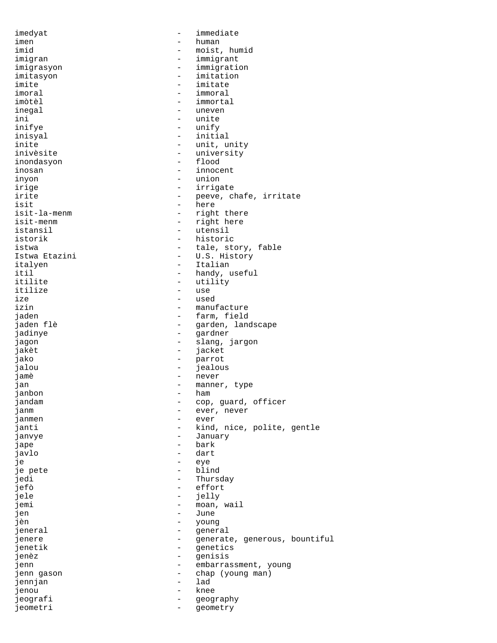imedyat - immediate imen - human - human - human - human - human - human - human - human - human - human - human - human - human -- moist, humid imigran - immigrant imigrasyon - immigration<br>imitasyon - imitation imitasyon - imitation<br>imite - imitate imite - imitate imoral - immoral - immortal<br>- uneven inegal  $-$  uneven ini - unite - unify inisyal - initial inite  $-$  unit, unity inivèsite - university inondasyon - flood inosan - innocent inyon - union<br>irige - irrigi irige - irrigate irite  $\qquad \qquad -$  peeve, chafe, irritate isit isit - here - right there isit-menm - right here istansil  $-$  utensil istorik - historic istwa  $-$  tale, story, fable Istwa Etazini  $-$  U.S. History italyen - Italian itil - handy, useful<br>itilite - handy, useful<br>- utility - utility<br>- use itilize the contract of the contract of the contract of the contract of the contract of the contract of the contract of the contract of the contract of the contract of the contract of the contract of the contract of the co ize - used izin - manufacture - farm, field jaden flè - garden, landscape jadinye - gardner - slang, jargon jakèt - jacket jako - parrot jalou - jealous jamè - never jan - manner, type inhon - manner, type inhon - manner, type - ham janbon - hamalar - hamalar - hamalar - hamalar - hamalar - hamalar - hamalar - hamalar - hamalar - h jandam  $\begin{array}{cccc} - & \text{cop, guard, officer} \\ - & \text{per, never} \end{array}$ janm - ever, never janmen - ever - kind, nice, polite, gentle<br>- January janvye - January jape - bark javlo - dart je - eye je pete - blind jedi - Thursday jefò - effort jele - jelly jemi - moan, wail<br>jen - June - June jen - June jèn - young general jenere  $-$  generate, generous, bountiful jenetik - genetics - genisis jenn - embarrassment, young jenn gason - chap (young man) jennjan - lad jenou - knee jeografi - geography jeometri - geometry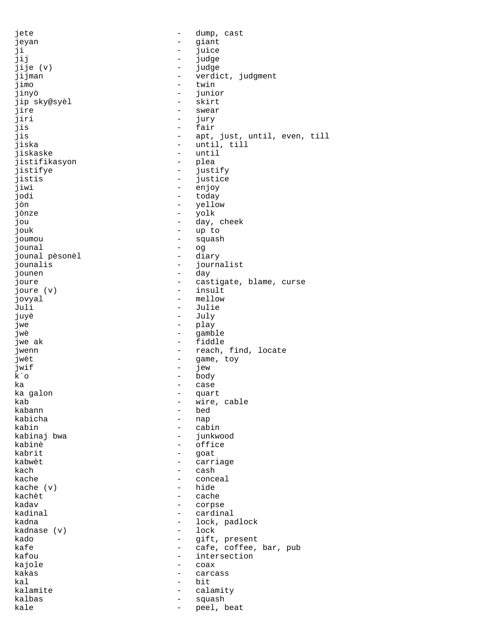jete  $-$  dump, cast jeyan - giant - giant - giant - giant - giant - giant - giant - giant - giant - giant - giant - giant - giant - giant - giant - giant - giant - giant - giant - giant - giant - giant - giant - giant - giant - giant - giant ji - juice jij - judge jije (v) - judge jijman - verdict, judgment<br>jimo - twin - twin jimo - twin - junior<br>- skirt jip sky@syèl - skirt jire - swear - swear<br>jiri - jury - jury jiri - jury jis - fair - apt, just, until, even, till jiska - until, till jiskaske - until jistifikasyon - plea jistifye - justify jistis - justice - justice - justice - justice - justice - justice - justice - justice - justice - justice -  $\sim$  - enjoy - enjoy - enjoy - enjoy - enjoy - enjoy - enjoy - enjoy - enjoy - enjoy - enjoy - enjoy - enjoy - en jiwi - enjoy<br>jodi - today jodi - today - yellow<br>- yolk jònze jou - day, cheek<br>jouk - up to - up to joumou - squash jounal - og jounal pèsonèl - diary jounalis - journalist jounen - day joure  $\begin{array}{ccc} - & \text{castigate, blame, curse} \\ - & \text{insult} \end{array}$ joure (v) – insultation of the set of the set of the set of the set of the set of the set of the set of the set of the set of the set of the set of the set of the set of the set of the set of the set of the set of the set jovyal - mellow Juli - Julie - Julie - Julie - Julie - Julie - Julie - Julie - Julie - Julie - Julie - Julie - Julie - Julie -- July jwe - play jwè dia kacamatan ing kacamatan ing kacamatan ing kacamatan ing kacamatan ing kacamatan ing kacamatan ing kacamatan ing kacamatan ing kacamatan ing kacamatan ing kacamatan ing kacamatan ing kacamatan ing kacamatan ing kaca jwe ak  $-$  fiddle jwenn - reach, find, locate jwèt  $-$  game, toy jwif - jew  ${\bf k\,^{\smallsetminus}$ o - body - body - body ka - case - case - case - case - case - case - case - case - case - case - case - case - case - case - case ka galon - quart kab - wire, cable kabann - bed kabicha<br>kabin - cabin<br>- junkwood kabinaj bwa<br>kabinè kabinè - office - goat kabwèt  $-$  carriage kach - cash kache - conceal kache  $(v)$  kachèt - cache kadav - corpse kadinal - cardinal - lock, padlock<br>- lock kadnase (v) kado - gift, present kafe  $\begin{array}{ccc} \text{kafe} & - & \text{cafe} & \text{coffe}, \text{bar}, \text{pub} \\ \text{kafou} & - & \text{intersection} \end{array}$ - intersection<br>- CORX kajole - coax kakas - carcass kal - bit kalamite - calamity kalbas - squash kale  $\qquad \qquad -$  peel, beat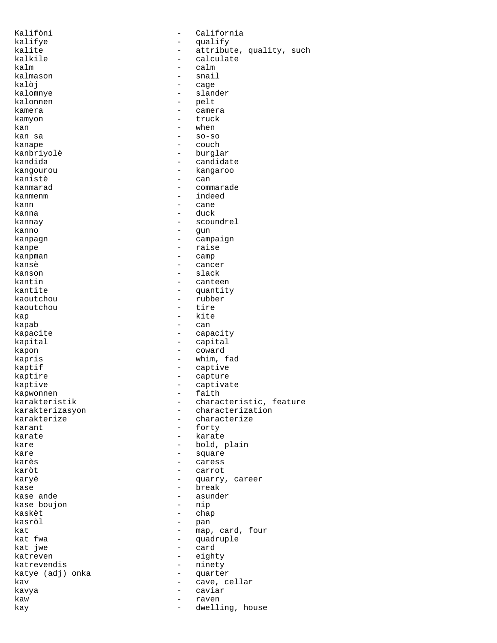Kalifòni - California kalifye - qualify<br>
kalife - attribut kalite - attribute, quality, such halkile - attribute, quality, such - calculate - calculate kalm - calm kalmason - snail - snail - snail - snail - snail - snail - snail - snail - snail - snail - snail - snail - snail - snail - snail - snail - snail - snail - snail - snail - snail - snail - snail - snail - snail - snail - sna kalòj - cage kalomnye - slander - pelt<br>- came kamera  $-$  camera kamyon - truck  $\begin{array}{cccc}\n\text{kan} & \text{s} & \text{s} \\
\text{kan} & \text{s} & \text{s} \\
\text{on} & \text{s} & \text{s} \\
\text{on} & \text{s} & \text{s} \\
\text{on} & \text{s} & \text{s} \\
\text{on} & \text{s} & \text{s} \\
\text{on} & \text{s} & \text{s} \\
\text{on} & \text{s} & \text{s} \\
\text{on} & \text{s} & \text{s} \\
\text{on} & \text{s} & \text{s} \\
\text{on} & \text{s} & \text{s} \\
\text{on} & \text{s} & \text{s} \\
\text{on} & \text{s} & \text{s} \\
\text{on$  $-$  so-so kanape - couch kanbriyolè - burglar kandida - candidate - candidate kangourou - kangaroo kanistè - can kanmarad - commarade kanmenm - indeed kann - cane - duck kannay  $\qquad \qquad -$  scoundrel kanno - gun kanpagn - campaign kanpe - raise kanpman - camp kansè di diagnosis di cancer di cancer kanson - slack kantin - canteen kantite - quantity - rubber<br>- tire kaoutchou kap - kite - can kapacite - capacity kapital - capital kapon - coward kapris - whim, fad kaptif  $-$  captive kaptire  $\qquad \qquad -$  capture kaptive - captivate - captivate - captivate - captivate - captivate - captivate - captivate - captivate - captivate - captivate - captivate - captivate - captivate - captivate - captivate - captivate - captivate - captivat kapwonnen<br>karakteristik karakteristik - characteristic, feature<br>karakterizasyon - characterization karakterizasyon - characterization<br>karakterize - characterize karakterize - characterize<br>karant - forty - characterize - forty karate  $\overline{\phantom{a}}$  - karate kare  $\qquad \qquad -$  bold, plain kare  $\qquad \qquad -$  square karès  $-$  caress karòt - carrot karyè - quarry, career kase - break - break - break - break - break - break - break - break - break - break - break - break - break kase ande - asunder kase boujon - nip kaskèt - chap kasròl - pan kat  $\begin{array}{cccc} \text{kat} & \text{at} & \text{at} & \text{at} \\ \text{kat} & \text{fwa} & \text{at} & \text{at} \\ \end{array}$ kat fwa - quadruple kat jwe - card katreven<br>
katrevendis<br>
and the contract values of the contract of the contract of the contract of the contract of the contract of the contract of the contract of the contract of the contract of the contract of the contract - ninety<br>- quarte katye (adj) onka - quarter kav - cave, cellar kavya - caviar kaw - raven kay  $-$  dwelling, house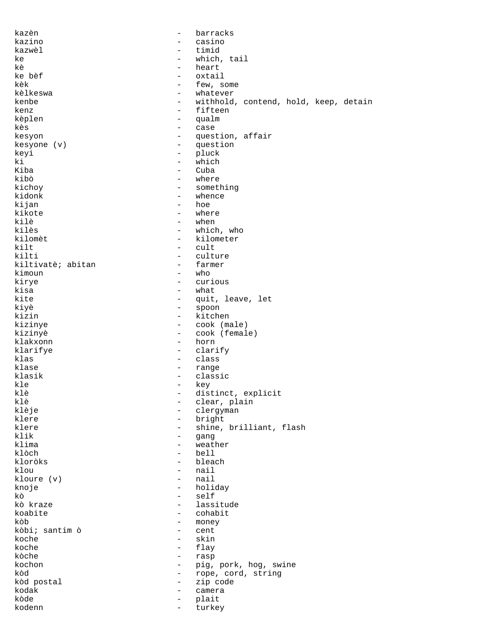| kazèn             | $\overline{\phantom{0}}$                             | barracks                                         |
|-------------------|------------------------------------------------------|--------------------------------------------------|
| kazino            | $\overline{\phantom{0}}$                             | casino                                           |
| kazwèl            | $\overline{\phantom{0}}$                             | timid                                            |
| ke                | $\qquad \qquad -$                                    | which, tail                                      |
| kè                | $\overline{\phantom{0}}$                             | heart                                            |
| ke bèf            | $\overline{\phantom{0}}$                             | oxtail                                           |
| kèk               | $\qquad \qquad -$                                    | few, some                                        |
| kèlkeswa          | $\overline{\phantom{m}}$                             | whatever                                         |
| kenbe<br>kenz     | $\qquad \qquad -$<br>$\qquad \qquad -$               | withhold, contend, hold, keep, detain<br>fifteen |
|                   | $\overline{\phantom{0}}$                             | qualm                                            |
| kèplen<br>kès     | $\overline{\phantom{m}}$                             | case                                             |
| kesyon            | $\overline{\phantom{0}}$                             | question, affair                                 |
| kesyone (v)       | $\overline{\phantom{0}}$                             | question                                         |
| keyi              | $\overline{\phantom{0}}$                             | pluck                                            |
| ki                | $\overline{\phantom{a}}$                             | which                                            |
| Kiba              | $\overline{\phantom{0}}$                             | Cuba                                             |
| kibò              | $\overline{\phantom{0}}$                             | where                                            |
| kichoy            | $\overline{\phantom{a}}$                             | something                                        |
| kidonk            | $\overline{\phantom{0}}$                             | whence                                           |
| kijan             | $\overline{\phantom{0}}$                             | hoe                                              |
| kikote            | $\overline{\phantom{0}}$                             | where                                            |
| kilè              | $\overline{\phantom{0}}$                             | when                                             |
| kilès             | $\overline{\phantom{m}}$                             | which, who                                       |
| kilomèt           | $\qquad \qquad -$                                    | kilometer                                        |
| kilt              | $\overline{\phantom{0}}$                             | cult                                             |
| kilti             | $\overline{\phantom{0}}$                             | culture                                          |
| kiltivatè; abitan | $\overline{\phantom{m}}$                             | farmer                                           |
| kimoun            | $\qquad \qquad -$                                    | who                                              |
| kirye             | $\overline{\phantom{0}}$                             | curious                                          |
| kisa              | $\qquad \qquad -$                                    | what                                             |
| kite              | $\qquad \qquad -$                                    | quit, leave, let                                 |
| kiyè              | $\overline{\phantom{m}}$                             | spoon                                            |
| kizin             | $\qquad \qquad -$                                    | kitchen                                          |
| kizinye           | $\overline{\phantom{m}}$                             | cook (male)                                      |
| kizinyè           | $\overline{\phantom{a}}$                             | cook (female)                                    |
| klakxonn          | $\overline{\phantom{a}}$<br>$\overline{\phantom{a}}$ | horn                                             |
| klarifye<br>klas  | $\overline{\phantom{a}}$                             | clarify<br>class                                 |
| klase             | $\overline{\phantom{a}}$                             | range                                            |
| klasik            | $\overline{\phantom{a}}$                             | classic                                          |
| kle               | $\overline{\phantom{0}}$                             | key                                              |
| klè               | $\overline{\phantom{0}}$                             | distinct, explicit                               |
| klè               | $\overline{\phantom{0}}$                             | clear, plain                                     |
| klèje             | $\overline{\phantom{m}}$                             | clergyman                                        |
| klere             | $\qquad \qquad -$                                    | bright                                           |
| klere             | $\overline{\phantom{m}}$                             | shine, brilliant, flash                          |
| klik              | $\overline{\phantom{m}}$                             | qanq                                             |
| klima             | $\overline{\phantom{m}}$                             | weather                                          |
| klòch             | $\qquad \qquad -$                                    | bell                                             |
| kloròks           | $\qquad \qquad -$                                    | bleach                                           |
| klou              | $\qquad \qquad -$                                    | nail                                             |
| kloure $(v)$      | $\qquad \qquad -$                                    | nail                                             |
| knoje             | $\overline{\phantom{m}}$                             | holiday                                          |
| kò                | $\qquad \qquad -$                                    | self                                             |
| kò kraze          | $\qquad \qquad -$                                    | lassitude                                        |
| koabite           | $\overline{\phantom{a}}$                             | cohabit                                          |
| kòb               | $\overline{\phantom{m}}$                             | money                                            |
| kòbi; santim ò    | $\qquad \qquad -$                                    | cent                                             |
| koche             | $\overline{\phantom{0}}$                             | skin                                             |
| koche<br>kòche    | $\overline{\phantom{a}}$                             | flay                                             |
| kochon            | $\overline{\phantom{0}}$<br>$\overline{\phantom{0}}$ | rasp                                             |
| kòd               | $\qquad \qquad -$                                    | pig, pork, hog, swine<br>rope, cord, string      |
| kòd postal        | $\overline{\phantom{a}}$                             | zip code                                         |
| kodak             | $\overline{\phantom{a}}$                             | camera                                           |
| kòde              | -                                                    | plait                                            |
| kodenn            | $\qquad \qquad -$                                    | turkey                                           |
|                   |                                                      |                                                  |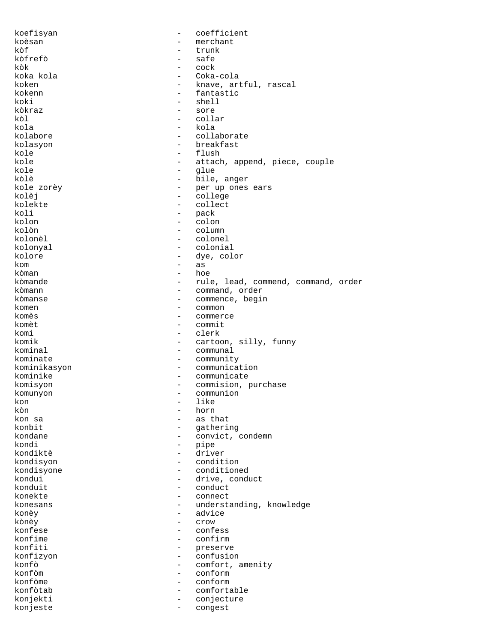koefisyan - coefficient<br>koèsan - merchant - merchant koèsan - merchant kòf - trunk kòfrefò - safe kòk - cock koka kola - Coka-cola koken - knave, artful, rascal<br>kokenn - knave, artful, rascal kokenn - fantastic<br>koki - fantastic<br>- shell koki - shell<br>kòkraz - sore - sore kòkraz - sore kòl - collar kola - kola - kola - kola - kola - kola - kola - kola - kola - kola - kola - kola - kola - kola - kola - kola - collaborate kolasyon - breakfast kole - flush kole - attach, append, piece, couple<br>
kole - alue kole - glue kòlè - bile, anger - per up ones ears<br>- college kolèj - college<br>kolekte - college - collect kolekte - collect<br>koli - collect koli - pack kolon - colon - colon - colon - colon - colon - colon - colon - colon - colon - colon - colon - colon - colon - colon - colon - colon - colon - colon - colon - colon - colon - colon - colon - colon - colon - colon - colon kolòn - column kolonèl - colonel kolonyal - colonial kolore - dye, color kom - as kòman - hoe kòmande - rule, lead, commend, command, order kòmann - command, order kòmanse - commence, begin komen - common - commerce komèt - commit<br>komi - clerk komi - clerk<br>komik - cartou komik - cartoon, silly, funny<br>kominal - communal - communal - communal kominate - community kominikasyon - communication kominike - communicate komisyon - commision, purchase<br>komunyon - communion komunyon - communion<br>kon - like kon - like<br>kòn - horn kòn - horn kon sa - as that - as that - as that - as that - as that - as that - as that - as that - as that - as that - as that - as that - as that - as that - as that - as that - as that - as that - as that - as that - as that - as konbit - gathering<br>
kondane - convict d kondane  $\begin{array}{ccc} - & \text{convict, condem} \\ \text{kondi} & - & \text{vine} \end{array}$ kondi - pipe - driver kondisyon - condition kondisyone - conditioned kondui - drive, conduct<br>
konduit - drive, conduct - conduct konekte - connect<br>konesans - understa konesans - understanding, knowledge<br>
konèv konèy - advice kònèy - crow konfese - confess<br>konfime - confirm konfime - confirm konfiti - preserve konfizyon - confusion<br>konfò - comfort - comfort, amenity konfòm - conform konfòme - conform konfòtab - comfortable konjekti - conjecture konjeste - congest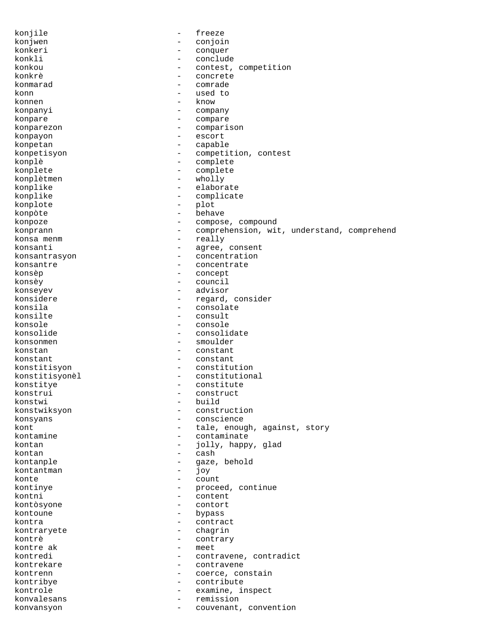konjile - freeze konjwen - conjoin<br>konkeri - conguer konkeri - conquer konkli - conclude - contest, competition konkrè - concrete konmarad - comrade - comrade - comrade - comrade - comrade - comrade - comrade - comrade - comrade - comrade - comrade - comrade - comrade - comrade - comrade - comrade - comrade - comrade - comrade - comrade - comrade - c konn - used to - know konpanyi - company konpare - compare - compare konparezon - comparison konpayon - escort konpetan - capable konpetisyon - competition, contest konplè - complete konplete  $\longleftarrow$  - complete  $\longleftarrow$  - complete  $\longleftarrow$  wholly konplètmen konplike - elaborate konplike - complicate konplote - plot - behave konpoze  $\qquad \qquad \qquad -$  compose, compound konprann - comprehension, wit, understand, comprehend konsa menm  $-$  really konsanti  $-$  agree, consent konsantrasyon - concentration konsantre  $\qquad \qquad -$  concentrate konsèp - concept konsèy - council konseyev - advisor konsidere - regard, consider konsila - consolate - consult konsole - console - console konsolide - consolidate konsonmen - smoulder konstan - constant konstant - constant konstitisyon - constitution konstitisyonèl - constitutional konstitye - constitute konstrui - construct<br>
konstwi - build konstwi - build konstwiksyon - construction konsyans - conscience<br>
kont - tale, enough - tale, enough, against, story kontamine  $\qquad \qquad -$  contaminate kontan  $\qquad \qquad - \qquad$  jolly, happy, glad kontan - cash - cash - cash - cash - cash - cash - cash - cash - cash - cash - cash - cash - cash - cash - cash kontanple - gaze, behold kontantman - joy konte de la countralisation de la countralisation de la countralisation de la countralisation de la countralis<br>De la countralisation de la countralisation de la countralisation de la countralisation de la countralisation<br>D kontinye - proceed, continue<br>
kontni kontni - content<br>kontòsyone - contort - contort kontòsyone - contort kontoune - bypass<br>kontra - contra kontra - contract kontraryete - chagrin kontrè - contrary - meet kontredi - contravene, contradict kontrekare  $\sim$  - contravene kontrenn - coerce, constain kontribye - contribute kontrole - examine, inspect konvalesans - remission konvansyon - couvenant, convention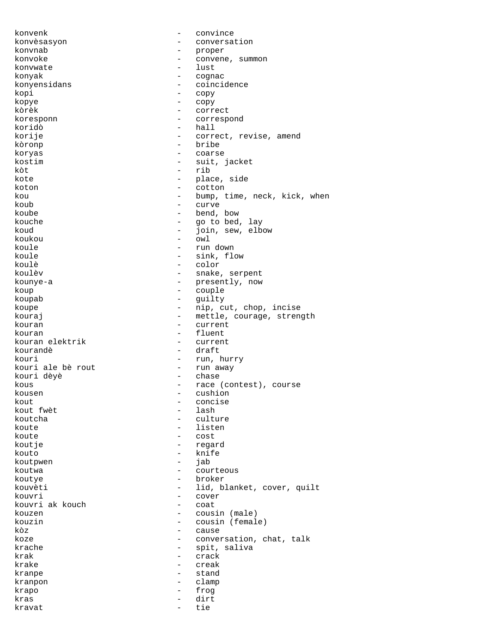konvenk - convince konvèsasyon - conversation konvnab - proper konvoke - convene, summon konvwate two teams of the state of the state of the state of the state of the state of the state of the state of the state of the state of the state of the state of the state of the state of the state of the state of the s konyak - cognac konyensidans - coincidence<br>kopi - copy kopi - copy<br>kopye - copy - copy kopye - copy - correct koresponn - correspond koridò - hall korije - correct, revise, amend kòronp - bribe koryas - coarse - coarse - coarse - coarse - coarse - coarse - coarse - coarse - coarse - coarse - coarse - coarse - coarse - coarse - coarse - coarse - coarse - coarse - coarse - coarse - coarse - coarse - coarse - coarse - suit, jacket kòt - rib kote - place, side<br>koton - place, side<br>- cotton - cotton koton - cotton kou - bump, time, neck, kick, when<br>
- curve koub - curve<br>koube - bend - bend, bow kouche  $\begin{array}{ccc} - & \text{go to bed, lay} \\ - & \text{ioin, sew, elbe} \end{array}$ koud - join, sew, elbow koukou - owl - owl - owl - cun koule - run down koule - sink, flow koulè - color koulèv - snake, serpent kounye-a - presently, now<br>koup - couple - couple koup - couple koupab - guilty koupe  $\qquad \qquad -$  nip, cut, chop, incise kouraj  $-$  mettle, courage, strength kouran - current kouran - fluent kouran elektrik<br>kourandè - draft kouri - run, hurry <br/> kouri ale bè rout - run away - run away - run away - run away <br/> - run away - run away - run away - run away - run away - run away - run away - run away - run away <br/>  $\,$ kouri ale bè rout<br>kouri dèyè - chase kous  $-$  race (contest), course kousen - cushion - cushion kout  $\begin{array}{ccc} kout & - & concise \\ kout & fwe^t \end{array}$ kout fwèt - lash koutcha - culture - listen koute - cost koutje - regard kouto - knife koutpwen - jab - jab<br>koutwa - - cour koutwa - courteous koutye - broker kouvèti  $-$  lid, blanket, cover, quilt kouvri - cover<br>kouvriek kouch - coat kouvri ak kouch  $\begin{array}{ccc} - & \text{coat} \\ - & \text{coat} \end{array}$ kouzen - cousin (male)<br>kouzin - cousin (femal kouzin - cousin (female)<br>kòz - cause - cause koze  $\qquad \qquad -$  conversation, chat, talk krache  $-$  spit, saliva krak - crack - crack krake - creak kranpe - stand kranpon - clamp krapo - frog kras - dirt kravat - tie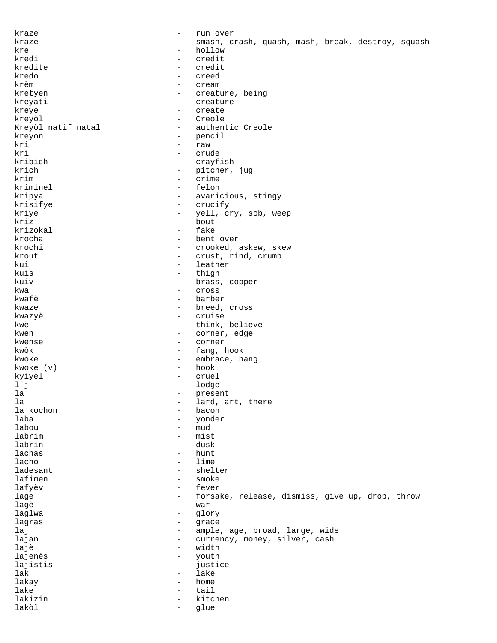kraze - run over kraze - smash, crash, quash, mash, break, destroy, squash kre - hollow - credit kredite - credit kredo - creed krèm - cream kretyen - creature, being kreyati - creature - creature - creature - creature - creature - creature - creature - creature - creature - creature - creature - creature - creature - creature - creature - creature - creature - creature - creature - cre kreye - create kreyòl - Creole - authentic Creole kreyon - pencil kri - raw kri - crude kribich - crayfish krich - pitcher, jug krim - crime kriminel - crime - crime - crime - crime - crime - crime - crime - crime - crime - crime - crime - crime - crime - crime - crime - crime - crime - crime - crime - crime - crime - crime - crime - crime - crime kriminel kripya - avaricious, stingy krisifye - crucify yell, cry, sob, weep kriz - bout krizokal krocha - bent over krochi - crooked, askew, skew<br>krout - crust rind crumb krout  $\qquad \qquad -$  crust, rind, crumb kui - leather kuis - thigh kuiv - brass, copper kwa - cross barber kwaze  $-$  breed, cross kwazyè - cruise kwè  $-$  think, believe kwen <br/>  $\hfill\mbox{\tt \char'42}$  - corner, edge kwense - corner kwòk - fang, hook kwoke  $(v)$  - embrace, hang<br>kwoke  $(v)$  - hook - hook kwoke  $(v)$  kyiyèl - cruel l`j - lodge - present<br>- lard a la  $\qquad \qquad$  - lard, art, there la kochon  $\qquad \qquad$  - bacon la kochon - bacon laba - yonder - mud labrim - mist labrin - dusk lachas - hunt lacho  $-$  lime ladesant - shelter lafimen - smoke lafyèv - fever lage  $\qquad \qquad -$  forsake, release, dismiss, give up, drop, throw<br>lage  $\qquad \qquad -$  war lagè - war laglwa - glory lagras - grace laj  $-$  ample, age, broad, large, wide lajan - currency, money, silver, cash<br>lajà lajè - width<br>lajenès - width - wouth lajenès - youth lajistis - justice lak - lake lakay - home lake tail the set of the set of the set of the set of the set of the set of the set of the set of the set of t lakizin - kitchen lakòl - glue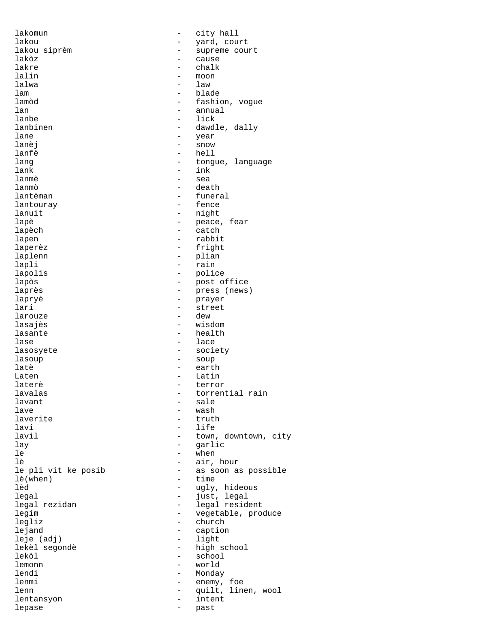lakomun - city hall lakou - yard, court lakou siprèm - supreme court lakòz - cause lakre - chalk lalin - moon lalwa - law lam - blade lamòd - fashion, vogue lan - annual lanbe - lick<br>lanbinen - dawd lane  $-$  year lanèj - snow lanfè - hell<br>lang - tong lang  $\qquad \qquad -$  tongue, language<br>lank  $\qquad \qquad -$  ink lank - ink<br>lanmè - sea lanmè - sea lanmò - death lantèman - funeral lantouray - fence lapè  $-$  peace, fear lapèch  $\qquad \qquad -$  catch lapen - rabbit laperèz  $-$  fright laplenn - plian lapli - rain<br>lapolis - rain - polic lapòs - post office laprès<br>laprès - press (news) lapryè - prayer lari - street larouze - dew lasante health - health lase - lace lasosyete - society lasoup - soup latè - earth Laten - Latin - Latin laterè  $-$  terror lavalas  $\qquad \qquad \qquad -$  torrential rain lavant - sale lave - wash - wash - wash - wash - wash - wash - wash - wash - wash - wash - wash - wash - wash - wash - wash - wash - wash - wash - wash - wash - wash - wash - wash - wash - wash - wash - wash - wash - wash - wash - wash laverite - truth lavi - life lay - garlic  $le^{\sim}$   $-$  when lè  $-$  air, hour le pli vit ke posib - as soon as possible<br>
lè(when) - time lè(when) - time<br>lèd - uqly, legal - just, legal legim - vegetable, produce legliz - church leje (adj)<br>lekèl segondè lekèl segondè - high school lekòl - school lemonn - world - world - world - world - world - world - world - world - world - world - world - world - world -  $\sim$  Monda - Monda - Monda - Monda - Monda - Monda - Monda - Monda - Monda - Monda - Monda - Monda - Monda lenmi - enemy, foe lenn - quilt, linen, wool lentansyon - intent lepase - past

- dawdle, dally - night - police - wisdom - town, downtown, city - ugly, hideous - legal resident - caption<br>- light - Monday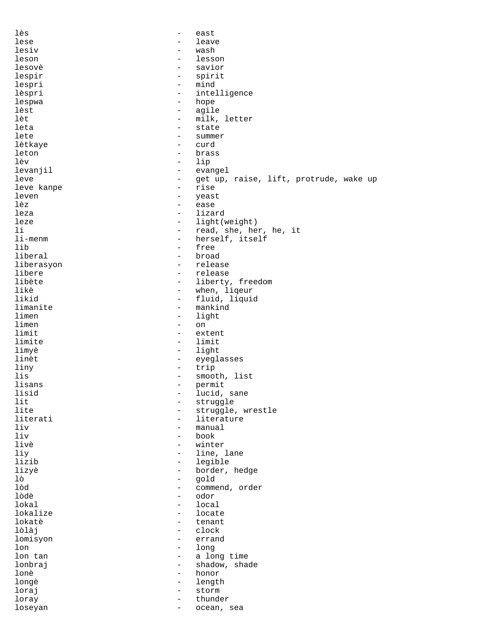| lès        | $\overline{\phantom{m}}$        | east                                   |
|------------|---------------------------------|----------------------------------------|
| lese       | $\overline{\phantom{0}}$        | leave                                  |
| lesiv      | $\overline{\phantom{a}}$        | wash                                   |
| leson      | $\qquad \qquad -$               | lesson                                 |
| lesovè     | $\qquad \qquad -$               | savior                                 |
| lespir     | $\qquad \qquad -$               | spirit                                 |
| lespri     | $\overline{\phantom{a}}$        | mind                                   |
| lèspri     | $\overline{\phantom{a}}$        | intelligence                           |
| lespwa     | $\qquad \qquad -$               | hope                                   |
| lèst       | -                               | agile                                  |
| lèt        | $\overline{\phantom{0}}$        | milk, letter                           |
| leta       | $\overline{\phantom{0}}$        | state                                  |
| lete       | $\qquad \qquad -$               | summer                                 |
| lètkaye    | $\overline{\phantom{0}}$        | curd                                   |
| leton      | $\overline{\phantom{a}}$        | brass                                  |
| lèv        | $\overline{\phantom{a}}$        | lip                                    |
| levanjil   | $\overline{\phantom{m}}$        | evangel                                |
| leve       | $\qquad \qquad -$               | get up, raise, lift, protrude, wake up |
| leve kanpe | $\qquad \qquad -$               | rise                                   |
| leven      | $\overline{\phantom{m}}$        | yeast                                  |
| lèz        | $\qquad \qquad -$               | ease                                   |
| leza       | $\qquad \qquad -$               | lizard                                 |
| leze       | $\overline{\phantom{0}}$        | light(weight)                          |
| li         | $\overline{\phantom{a}}$        | read, she, her, he, it                 |
| li-menm    | $\overline{\phantom{0}}$        | herself, itself                        |
| lib        | $\qquad \qquad -$               | free                                   |
| liberal    | $\overline{\phantom{a}}$        | broad                                  |
| liberasyon | $\overline{\phantom{0}}$        | release                                |
| libere     | $\qquad \qquad -$               | release                                |
| libète     | -                               | liberty, freedom                       |
| likè       | $\qquad \qquad -$               | when, liqeur                           |
| likid      | $\overline{\phantom{a}}$        | fluid, liquid                          |
| limanite   | $\qquad \qquad -$               | mankind                                |
| limen      | $\qquad \qquad -$               | light                                  |
| limen      | $\qquad \qquad -$               | on                                     |
| limit      | $\overline{\phantom{0}}$        | extent                                 |
| limite     | $\qquad \qquad -$               | limit                                  |
| limyè      | $\qquad \qquad -$               | light                                  |
| linèt      | -                               | eyeglasses                             |
| liny       | $\overline{\phantom{m}}$        | trip                                   |
| lis        | $\qquad \qquad -$               | smooth, list                           |
| lisans     | -                               | permit                                 |
| lisid      |                                 | lucid, sane                            |
| lit        | -                               | struggle                               |
| lite       | -                               | struggle, wrestle                      |
| literati   | $\overline{\phantom{0}}$        | literature                             |
| liv        | -                               | manual                                 |
| liv        | $\overline{\phantom{0}}$        | book                                   |
| livè       | $\overline{\phantom{0}}$        | winter                                 |
| liy        | $\overline{\phantom{0}}$        | line, lane                             |
| lizib      | $\overline{\phantom{0}}$        | legible                                |
| lizyè      | $-$                             | border, hedge                          |
| lò         | $\overline{\phantom{a}}$        | gold                                   |
| lòd        |                                 |                                        |
|            | -                               | commend, order                         |
| lòdè       | $-$<br>$\overline{\phantom{0}}$ | odor                                   |
| lokal      |                                 | local                                  |
| lokalize   | $\qquad \qquad -$               | locate                                 |
| lokatè     | $\qquad \qquad -$               | tenant                                 |
| lòlàj      | $\overline{\phantom{0}}$        | clock                                  |
| lomisyon   | $\qquad \qquad -$               | errand                                 |
| lon        | $\overline{\phantom{0}}$        | long                                   |
| lon tan    | $\overline{\phantom{0}}$        | a long time                            |
| lonbraj    | $\qquad \qquad -$               | shadow, shade                          |
| lonè       | $\overline{\phantom{0}}$        | honor                                  |
| longè      | -                               | length                                 |
| loraj      | $\qquad \qquad -$               | storm                                  |
| loray      | $\qquad \qquad -$               | thunder                                |
| loseyan    |                                 | ocean, sea                             |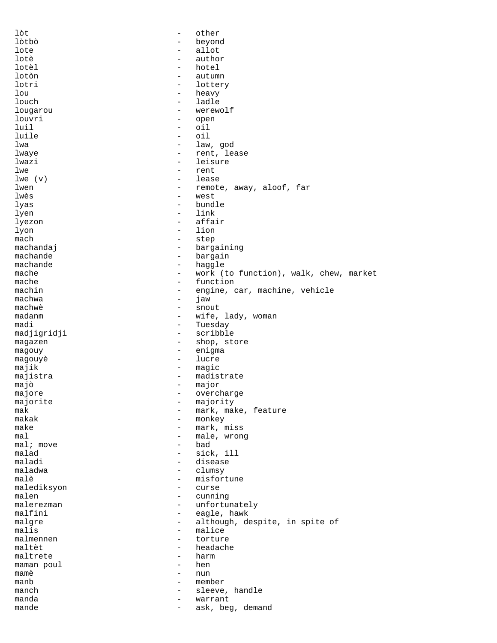lòt - other lòtbò - beyond lote - allot lotè de la contratte de la contratte de la contratte de la contratte de la contratte de la contratte de la con lotèl - hotel lotòn - autumn lotri - lottery lou - heavy louch - heavy louch - heavy louch - heavy - heavy - heavy - heavy - heavy - heavy - heavy - heavy - heavy - heavy - heavy - heavy - heavy - heavy - heavy - heavy - heavy - heavy - heavy - heavy - heavy - heavy - ladle lougarou - werewolf louvri - open<br>
luil - oil<br>
- oil luil - oil - oil lwa - law, god lwaye  $-$  rent, lease lwazi - leisure lwe  $\qquad \qquad -$  rent  $\qquad \qquad -$  lease  $\lceil \text{lwe}(\mathbf{v}) \rceil \rceil$ lwen - remote, away, aloof, far lwès  $-$  west lyas - bundle - link lyezon - affair<br>lyon - lion - lion - lion mach - step machandaj  $-$  bargaining machande - bargain<br>machande - bargain<br>- haggle machande - haggle mache  $-$  work (to function), walk, chew, market<br>mache  $-$  function mache - function<br>machin - engine - engine, car, machine, vehicle<br>- iaw machwa - jaw machwè - snout madanm - wife, lady, woman - Tuesday madjigridji - scribble magazen - shop, store magouy - enigma magouyè - lucre majik - magic majistra - madistrate majò - major majore - overcharge majorite - majority<br>mak - mark, mal mak - mark, make, feature<br>makak - monkey - monkey makak - monkey - mark, miss mal<br>mal; move  $\begin{array}{ccc} 1 & - & - \\ - & - & - \end{array}$  had  $mali$  move<br> $mald$ - sick, ill maladi - disease maladwa - clumsy<br>malè - misfori malè  $-$  misfortune malediksyon - curse malen - cunning<br>malerezman - cunning - cunning malerezman - unfortunately<br>malfini - eagle, hawk malfini - eagle, hawk<br>malgre - eagle, hawk<br>- although, d malgre - although, despite, in spite of malis - malice<br>- torture malmennen  $-$  torture maltèt - headache maltrete - harm<br>maman poul - hen maman poul mamè - nun manb - member manch  $\qquad \qquad -$  sleeve, handle manda - warrant mande  $-$  ask, beg, demand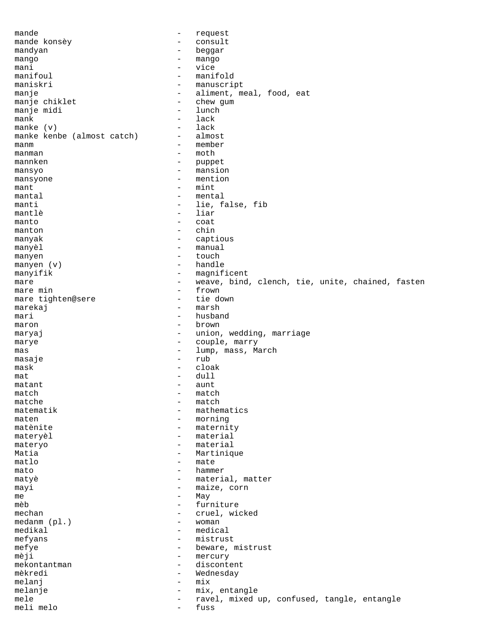mande  $-$  request mande konsèy - consult mandyan - beggar mango - mango - mango mani - vice manifoul - manifold<br>maniskri - manuscri - manuscript manje  $\begin{array}{cccc} \text{manje} & \text{anije} & \text{on} \\ \text{manje chiklet} & \text{on} \\ \end{array}$  - aliment, meal, food, eat manje chiklet - chew g<br>manje midi - lunch manje midi mank  $\begin{array}{ccc} \text{mank} & - & \text{lack} \\ \text{mank} & (y) & - & \text{lack} \end{array}$ manke (v) - lack manke kenbe (almost catch) manm - member manman  $\qquad$  - moth mannken  $\qquad$  - moth  $\qquad$ mannken - puppet mansyo<br>mansyone - mansion<br>- mention mansyone - mention<br>mant - mint<br>- mint mant - mint<br>mantal - ment. mantal  $\begin{array}{ccc} 1 & - & \text{mental} \\ 2 & - & \text{lie, f} \end{array}$ manti - lie, false, fib - liar manto - coat manton - chin manyak  $-$  captious manyèl  $-$  manual manyen  $\left( v \right)$  - touch manyen  $\left( v \right)$  - handle - handle manyifik - magnificent mare  $-$  weave, bind, clench, tie, unite, chained, fasten<br>mare min  $-$  frown mare min - frown mare tighten@sere marekaj - marsh mari - husband  $\begin{array}{cccc}\n\text{maron} & - & \text{brown}\n\end{array}$ maryaj  $-$  union, wedding, marriage marye  $\qquad \qquad -$  couple, marry mas  $-$  lump, mass, March masaje - rub  ${\small \tt mask \hspace*{1.5cm} - \hspace*{1.5cm} cloak}$  $\begin{array}{cccc}\n\text{mat} & \text{mult} & \text{mult} & \text{mult} \\
\text{mat} & \text{mult} & \text{mult} & \text{mult} & \text{mult} \\
\end{array}$  $\mathsf{matant}$   $$  $match$  - match matche  $-$  match matematik - mathematics maten - morning - maternity materyèl  $-$  material materyo - material Matia  $\overline{\phantom{a}}$  - Martinique matlo - mate mato - hammer matyè  $-$  material, matter mayi  $-$  maize, corn me - May - May - May - May - furi - furniture<br>- cruel wie mechan - cruel, wicked<br>medanm (pl.) - woman - woman medanm (pl.)<br>medikal - medical mefyans - mistrust mefye beware, mistrust mèji - mercury mekontantman - discontent mèkredi - Wednesday melanj – mix melanje - mix, entangle - ravel, mixed up, confused, tangle, entangle meli melo - fuss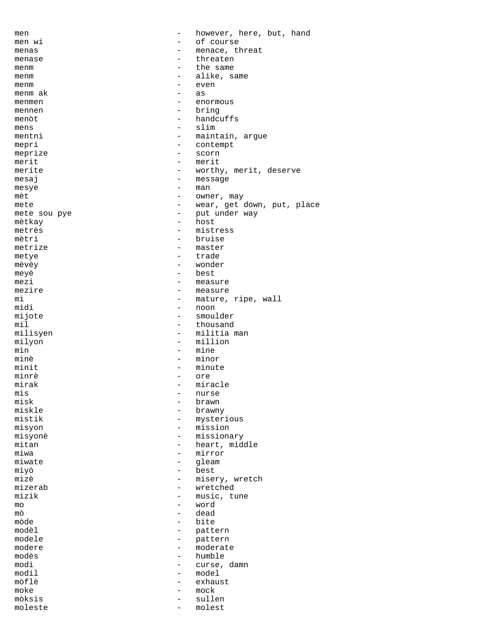men  $-$  however, here, but, hand men wi  $\qquad -$  of course<br>menas  $\qquad -$  menace the menas  $-$  menace, threat menase - threaten menm  $\begin{array}{ccc} - & \text{the same} \\ - & \text{alike} \\ - & \text{alike} \end{array}$ menm alike, same<br>menm – alike, same<br>even menm - even menm ak  $\overline{a}$  as  $\overline{a}$ menmen – enormous<br>mennen – bring mennen – bring – bring – bring – bring – bring – bring – bring – bring – bring – bring – bring – bring – bring – bring – bring – bring – bring – bring – bring – bring – bring – bring – bring – bring – bring – bring – bring menòt - handcuffs<br>mens - slim mens - slim<br>mentni - maint mentni - maintain, argue mepri - contempt meprize - scorn merit - merit merite - worthy, merit, deserve<br>messai - message - message mesaj – message – message – message – message – message – message – message – message – message – message – me  $\begin{minipage}{0.9\linewidth} \begin{minipage}{0.9\linewidth} \text{mæs} \end{minipage} \begin{minipage}{0.9\linewidth} \begin{minipage}{0.9\linewidth} \begin{minipage}{0.9\linewidth} \text{mæt} \end{minipage} \end{minipage} \begin{minipage}{0.9\linewidth} \begin{minipage}{0.9\linewidth} \begin{minipage}{0.9\linewidth} \text{mæt} \end{minipage} \end{minipage} \begin{minipage}{0.9\linewidth} \begin{minipage}{0.9\linewidth} \begin{minipage}{0.9\linewidth} \text{mæt} \end{minipage} \end{minipage}$ mèt – owner, may mete – owner, may  $-$  owner, may  $-$  wear, qet  $\alpha$ mete  $-$  wear, get down, put, place mete sou pye  $-$  put under way mete sou pye - put under way - host metrès - mistress - bruise<br>- master metrize  $-$  master metye – trade<br>màvàv – wonder mèvèy - wonder meyè - best  $\begin{array}{ccc}\n \text{mezi} & - & \text{measure} \\
 \text{mezi} & - & \text{measure}\n \end{array}$ mezire - measure - measure - measure - measure - measure - measure - measure - measure - measure - measure - me mi - mature, ripe, wall<br>midi - noon - noon midi - noon<br>mijote - smoul mijote - smoulder - smoulder - smoulder - thousand mil<br>milisyen - thousand<br>- militia - militia man milyon - million<br>min - mine min – mine – mine – mine – mine – mine – mine – mine – mine – mine – mine – mine – mine – mine – mine – mine – - minor minit - minute minrè - ore mirak - miracle<br>mis - murse - murse mis - nurse misk - brawn<br>miskle - brawn miskle - brawny mistik - mysterious<br>misyon - mission - mission - mission misyonè - missionary mitan - heart, middle<br>miwa - mirror - mirror<br>- gleam miwate - gleam<br>miyò - best<br>- best miyò - best mizè  $-$  misery, wretch mizerab - wretched mizik - music, tune mo - word mò - dead mòde - bite modèl - pattern modele - pattern modere - moderate modès - humble curse, damn modil - model<br>mòflè - exhau mòflè - exhaust moke - mock mòksis - sullen moleste - molest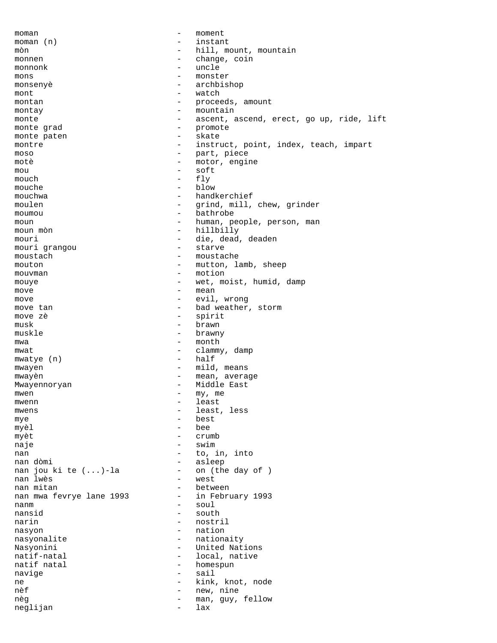moman - moment moman (n) - instant mòn - hill, mount, mountain monnen - change, coin monnonk - uncle mons - monster - archbishop<br>- watch mont - watch - proceeds, amount montay - mountain monte ascent, ascend, erect, go up, ride, lift monte grad - promote monte paten montre  $-$  instruct, point, index, teach, impart moso - part, piece motè  $\overline{ }$  - motor, engine  $\begin{array}{ccc}\n\text{mod} & - & \text{soft} \\
\text{mod} & - & \text{f} \\
\end{array}$ mouch  $-$  fly mouche - blow mouchwa - handkerchief<br>moulen - cripd mill moulen - grind, mill, chew, grinder moumou - bathrobe moun - human, people, person, man moun mòn  $-$  hillbilly mouri - die, dead, deaden<br>mouri grangou - die, dead, deaden<br>- starve mouri grangou moustach  $-$  moustache mouton - mutton, lamb, sheep mouvman - motion mouye - wet, moist, humid, damp<br>move - mean move  $-\text{mean}$ <br>move  $-\text{exit}$ move - evil, wrong move tan  $\qquad \qquad -$  bad weather, storm move zè  $-$  spirit  $\begin{array}{ccc} \text{musk} & & - & \text{brawn} \end{array}$ muskle - brawny mwa  $-$  month mwat - clammy, damp<br>mwatye (n) - half  $mwa$ tye  $(n)$ mwayen  $-$  mild, means mwayèn  $-$  mean, average Mwayennoryan - Middle East mwen  $-\text{my}, \text{me}$ <br>mwenn  $-\text{log}$ mwenn - least<br>mwens - least<br>- least mwens - least, less mye - best myèl bee myèt  $-$  crumb naje - swim nan - to, in, into nan dòmi  $-$  asleep nan jou ki te  $(...)$ -la  $-$  on (the day of )<br>nan lwès  $-$  west nan lwès - west - west - west - west - west - west - west - west - west - west - west - west - west - west - w nan mitan - between nan mwa fevrye lane 1993 nanm - soul nansid<br>narin - nostril nasyon - nation nasyonalite - nationaity Nasyonini - United Nations<br>
natif-natal - Coral, native natif-natal and the set of the local, native natif natal and the set of the local, native natif national set o - homespun navige - sail ne - kink, knot, node n<br/>èf - kink, knot, node new, nine - new, nine - new, nine - new, nine - new, nine - new, nine - new<br/>, new, nine - new, nine - new, nine - new, nine - new, nine - new, nine - new, nine - new, n - new, nine<br>- man. quv nèg  $-$  man, guy, fellow neglijan - lax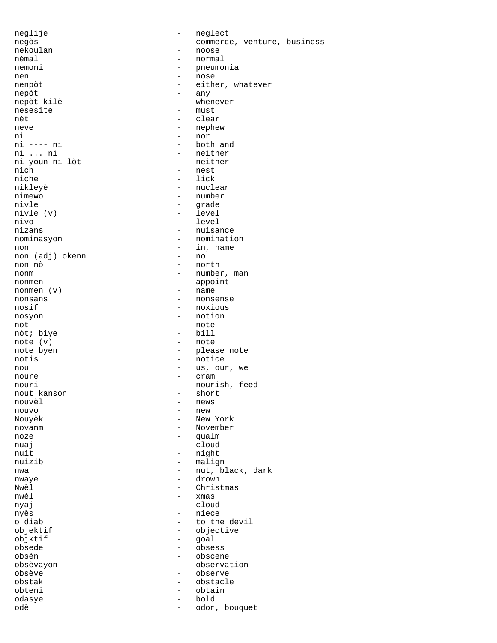neglije - neglect nekoulan - noose nemal - noose nemal - normal nemoni - pneumonia nen - nose - nose - nose - nose - nose - nose - nose - nose - nose - nose - nose - nose - nose - nose - nose nepòt - any nesesite - must nèt des clear neve - nephew ni ---- ni ---- ni ---- nor ---- ni ----- ni ----- nor ---- hoth ni ---- ni - both and ni youn ni lòt<br>nich nich - nest niche - lick<br>nikleyè - nucle nikleyè - nuclear nimewo - number<br>nivle - qrade nivle (v) nivo - level<br>nizans - nuisan nominasyon - nomination non - in, name non (adj) okenn non nò - north nonm - number, man nonmen (v) - appoint - appoint - appoint - appoint - appoint - appoint - appoint nonmen (v) nonsans - nonsense nosif - noxious nosyon - notion nòt - note<br>
nòt : hive - hill<br>
- hill nòt; biye - bill note  $(v)$ <br>note byen notis - notice nou - us, our, we noure - cram nout kanson nouvèl - news nouvo - new Nouyèk - New York novanm - November noze - qualm nuaj en la estado en la estado en la estado en la estado en la estado en la estado en la estado en la estado e nuit - night nuizib - malign nwaye - drown Nwèl - Christmas nyaj - cloud nyès - niece objktif - goal<br>obsede - obse obsede - obsess obsèvayon - observation obsève - observe obstak - obstacle obteni - obtain - obtain - obtain - obtain - obtain - obtain - obtain - obtain - obtain - obtain - obtain - obtain - obtain - obtain - obtain - obtain - obtain - obtain - obtain - obtain - obtain - obtain - obtain - obtain odasye - bold odè <sup>-</sup> odor, bouquet

negòs - commerce, venture, business<br>nekoulan - noose - noose - normal - either, whatever - whenever - neither<br>- neither - grade<br>- level - nuisance - please note nouri - nourish, feed<br>nout kanson - short - short nwa  $-$  nut, black, dark  $\frac{-}{\sin \theta}$  -  $\frac{1}{\sin \theta}$ o diab  $-$  to the devil<br>objektif  $-$  objective - objective - obscene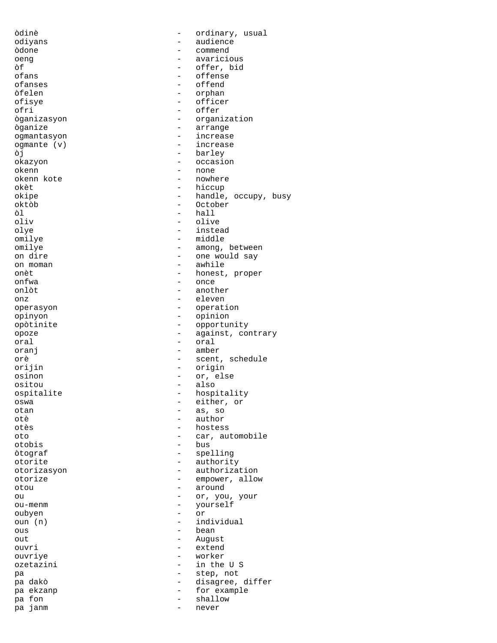òdinè - ordinary, usual odiyans - audience<br>
audience<br>
audience<br>
audience<br>
audience òdone - commend oeng - avaricious òf - offer, bid ofans - offense ofanses - offend òfelen - orphan - officer ofri - offer òganizasyon - organization òganize - arrange ogmantasyon ogmante (v) - increase òj - barley okazyon - occasion<br>okenn - occasion<br>- none okenn - none okenn kote - nowhere - nowhere - nowhere - nowhere - nowhere - nowhere - nowhere - nowhere - nowhere - nowhere -  $$ okèt - hiccup okipe - handle, occupy, busy<br>oktòb - October oktòb - October òl - hall - olive olye - instead omilye - middle omilye - among, between - one would say on moman  $\qquad \qquad -$  awhile<br>onet - honest, onèt - honest, proper onfwa - once onlòt - another<br>onz - eleven onz - eleven operasyon - operation opinyon - opinion opòtinite - opportunity opoze  $\qquad \qquad$  - against, contrary oral - oral oranj - amber orè - scent, schedule orijin - origin osinon - or, else ositou - also<br>ospitalite - - - - - - - - - - - - hospi ospitalite - hospitality<br>
oswa - either.or oswa - either, or otan - as, so otè - author - author<br>otès - hostes - hostess<br>- car au oto - car, automobile otobis - bus òtograf - spelling otorite - authority otorizasyon - authorization otorize - empower, allow<br>otou - around - around otou - around ou - or, you, your<br>ou-menm - vourself ou-menm - yourself<br>oubyen - or oubyen - or individual ous - bean out - August ouvri - extend ouvriye - worker ozetazini - in the U S pa - step, not pa dakò  $-$  disagree, differ<br>pa ekzanp  $-$  for example pa ekzanp  $\begin{array}{ccc} 1 & - & - & - \end{array}$  for example pa fon - shallow pa janm  $-$  never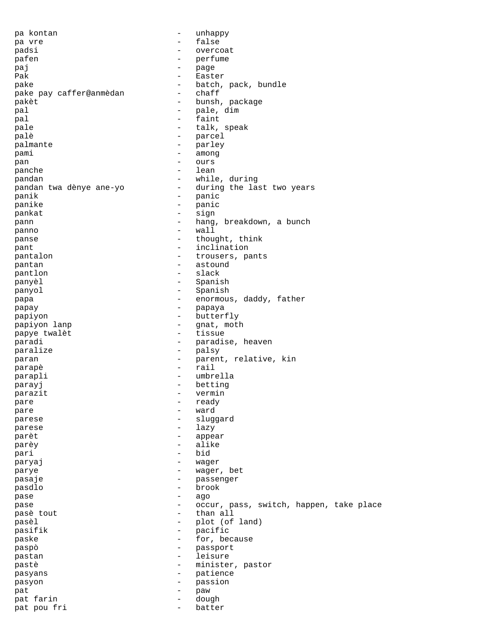pa kontan - unhappy pa vre - false padsi - overcoat pafen - perfume paj - page Pak - Easter<br>nake - Hatch pake  $-$  batch, pack, bundle<br>
pake pay caffer@anmedan  $-$  chaff pake pay caffer@anmèdan - chaff pakèt  $-$  bunsh, package pal  $-$  pale, dim pal - faint pale  $-$  talk, speak palè  $-$  parcel palmante  $-$  parley pami - among pan - ours panche  $-$  lean pandan<br>
pandan twa dènye ane-yo during the la pandan twa dènye ane-yo - during the last two years panik - panic - panic - panic - panic - panic - panic - panic - panic - panic - panic - panic - panic - panic - panic - panic - panic - panic - panic - panic - panic - panic - panic - panic - panic - panic - panic - panic panike - panic - panic - panic - panic - panic - panic - panic - panic - panic - panic - panic - panic - panic - panic - panic - panic - panic - panic - panic - panic - panic - panic - panic - panic - panic - panic - panic pankat - sign pann - hang, breakdown, a bunch panno - wall panse  $\qquad \qquad -$  thought, think pant  $\qquad \qquad -$  inclination pantalon  $-$  trousers, pants pantan  $-$  astound pantlon - slack panyèl - Spanish panyol - Spanish<br>
pana - enormous papa - enormous, daddy, father<br>
- enormous, daddy, father<br>
- papava papay - papaya papiyon - butterfly papiyon lanp - gnat, moth papye twalèt paradi - paradise, heaven paralize - palsy paran - parent, relative, kin parapè - rail parapli - umbrella parayj betting betting parazit - vermin<br>
pare - ready pare - ready<br>
pare - ward - ward pare  $-$  ward parese - sluggard parese - lazy parèt - appear parèy  $-$  alike pari - bid paryaj - wager parye  $-$  wager, bet pasaje - passenger pasdlo - brook pase - ago pase  $-$  occur, pass, switch, happen, take place nase tout pasè tout  $\begin{array}{ccc} & - & \text{ than all} \\ \text{ pasèl} & - & \text{ plot } \end{array}$ pasèl - plot (of land)<br>pasifik - pasific pasifik - pacific paske  $-$  for, because paspò - passport pastan - leisure pastè  $-$  minister, pastor pasyans - patience pasyon - passion pat  $-$  paw pat farin  $\qquad \qquad -$  dough pat pou fri  $-$  batter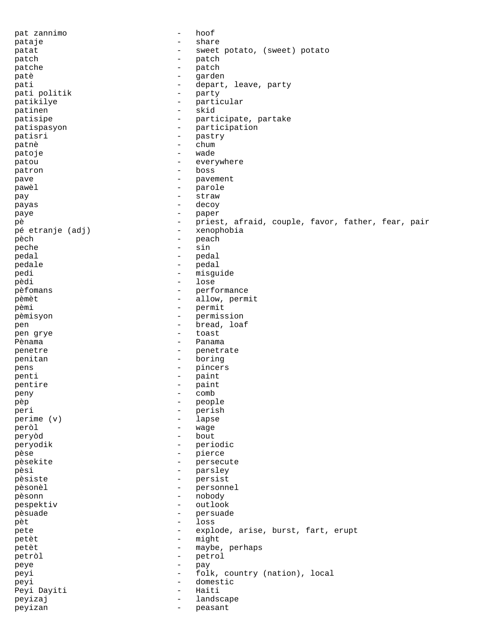pat zannimo - hoof pataje - share - share patat - sweet potato, (sweet) potato patch - patch - patch patche  $-$  patch patè - garden pati  $-$  depart, leave, party  $-$  depart, leave, party pati politik a marty - party particle particle in the particle particle in the particle particle in the particle in  $\sim$  particle in the particle in the particle in the particle in the particle in the particle in the parti patikilye - particular patinen - skid patisipe - participate, partake patispasyon - participation patisri - pastry patnè - chum patoje - wade patou everywhere  $-$  everywhere patron - boss pave - pavement pawèl - parole pay - straw payas - decoy paye - paper<br>
paper<br>
paper<br>
paper<br>
- paper pè - priest, afraid, couple, favor, father, fear, pair -<br>pé etranje (adj) - xenophobia pèch - peach peche - sin - sin - sin - sin - sin - sin - sin - sin - sin - sin - sin - sin - sin - sin - sin - sin - sin pedal - pedal pedale - pedal pedi - misguide pèdi - lose pèfomans  $-$  performance pèmèt - allow, permit pèmi - permit<br>pèmisyon - permisi pèmisyon - permission pen - bread, loaf pen grye - toast Pènama  $\overline{P}$ penetre  $-$  penetrate penitan - boring pens - pincers penti - paint pentire - paint peny - comb pèp - people peri - perish perime (v) - lapse peròl - wage peryòd - bout peryodik - periodic pèse  $-$  pierce pèsekite - persecute pèsi - parsley - parsley - parsley - parsley - parsley - parsley - parsley - parsley - parsley - parsley - parsley - parsley - parsley - parsley - parsley - parsley - parsley - parsley - parsley - parsley - parsley - parsl pèsiste - persist pèsonèl - personnel pèsonn - nobody pespektiv - outlook<br>
pesuade - oersuade - persuade pèsuade - persuade pèt - loss pete  $-$  explode, arise, burst, fart, erupt petèt - might petèt - maybe, perhaps<br>
petròl - petrol - petrol petròl - petrol peye - pay peyi  $-$  folk, country (nation), local peyi - domestic Peyi Dayiti  $-$  Haiti peyizaj  $-$  landscape peyizan - peasant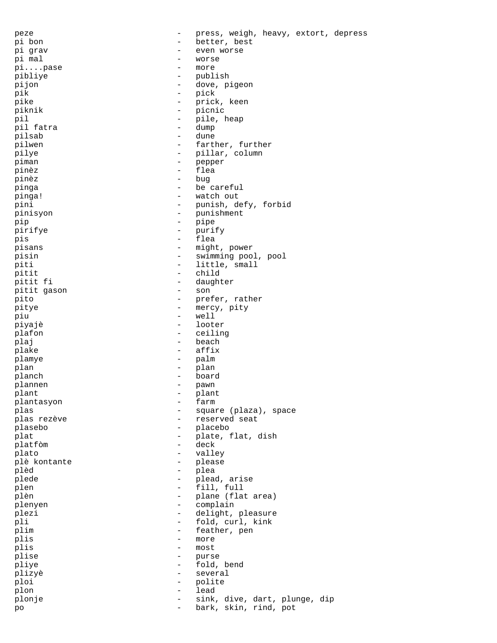peze - press, weigh, heavy, extort, depress pi bon - better, best pi grav - even worse pi mal  $-$  worse pi....pase - more pibliye - publish - publish<br>piion - dove p pijon - dove, pigeon pik - pick - prick, keen piknik - picnic pil - pile, heap pil fatra  $\qquad \qquad \qquad$  - dumped by  $\qquad \qquad \qquad$  pilsab - dune pilwen - farther, further pilye - pillar, column piman - perper piman - pepper pinèz - flea pinèz - bug pinga - be careful<br>pinga! - watch out pinga! - watch out pini - punish, defy, forbid pinisyon - punishment pip - pipe - pipe pirifye - purify pis - flea pisans - might, power pisin - swimming pool, pool piti  $-$  little, small pitit  $\begin{array}{ccc} \text{p}\text{init} & \text{p}\text{init} & \text{p}\text{init} \end{array}$ - daughter<br>- son pitit gason and the son solution of the son solution of the son solution of the son solution of the son solution of the son solution of the son solution of the solution of the solution of the solution of the solution of th pito - prefer, rather pitye - mercy, pity piu - well piyajè - looter<br>pisantalan - looter<br>china - ceilin plafon - ceiling<br>
plai - ceiling<br>
- beach plaj - beach - beach - beach - beach - beach - beach - beach - beach - beach - beach - beach - beach - beach plake - affix plamye - palm plan - plan - plan planch - board plannen - pawn plant - plant plantasyon plas  $\qquad \qquad -$  square (plaza), space plas rezève  $\qquad \qquad$  - reserved seat plasebo - placebo plat  $\qquad \qquad -$  plate, flat, dish platfòm - deck plato - valley plè kontante plèd - plea plede  $\qquad \qquad -$  plead, arise plen - fill, full plèn - plane (flat area)<br>plenyen - complain plenyen - complain<br>plezi - delight plezi - delight, pleasure<br>
plisted and the fold curl kink pli - fold, curl, kink - feather, pen<br>- more plis - more<br>nlis - more plis - most<br>plise - murs plise - purse plise - purse - purse - purse - purse - purse - purse - purse - purse - purse - purse - purse - purse - purse - purse - purse - purse - purse - purse - purse - purse - purse - purse - purse - purse - purse pliye - fold, bend plizyè - several ploi - polite plon - lead plonje - sink, dive, dart, plunge, dip po - bark, skin, rind, pot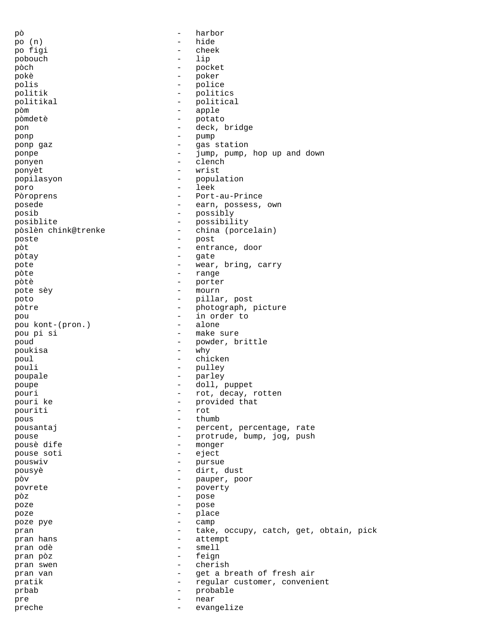pò - harbor po (n) - hide po figi - cheek pobouch the contract of  $\sim$ pòch - pocket pokè - poker polis - police politik - politics<br>politikal - politica politikal - political<br>
political<br>
- apple pòm - apple pòmdetè - potato - potato - potato - potato - potato - potato - potato - potato - potato - potato - potato - potato - potato - potato - potato - potato - potato - potato - potato - potato - potato - potato - potato - potat pon - deck, bridge ponp - pump ponp gaz  $-$  gas station ponpe - jump, pump, hop up and down ponyen - clench ponyèt - wrist popilasyon - population<br>
poro - leek<br>
- leek poro - leek Pòroprens - Port-au-Prince posede  $-$  earn, possess, own posib - possibly posiblite - possibility pòslèn chink@trenke - china (porcelain) poste - post pòt - entrance, door pòtay  $-$  gate pote  $-$  wear, bring, carry pòte anno anno 1982. I anno 1982 anno 1982 anno 1982 anno 1982 anno 1982 anno 1982 anno 1982 anno 1983 anno 19 pòtè - porter pote sèy  $-$  mourn<br>noto  $-$  milla poto - pillar, post pòtre  $-$  photograph, picture pou<br>
pou kont-(pron.) - in order to<br>
- alone pou kont-(pron.) pou pi si - make sure poud - powder, brittle<br>
poukisa - why - why poukisa - why poul - chicken pouli - pulley poupale - parley poupe - doll, puppet pouri  $\begin{array}{ccc} - & rot, decay, rotten \\ - & norwided that \end{array}$ pouri ke  $\overline{z}$  - provided that pouriti - rot<br>nous - thus pous - thumb pousantaj - percent, percentage, rate<br>pouse - percent, percentage, rate<br>pouse - protrude, hump, iog, push pouse - protrude, bump, jog, push pousè dife  $\overline{ }$  pouse soti  $\overline{ }$  pouse soti  $\overline{ }$  eject pouse soti - eject pouswiv - pursue pousyè - dirt, dust pòv - pauper, poor povrete - poverty pòz - pose poze - pose poze - place poze pye - camp pran  $-$  take, occupy, catch, get, obtain, pick<br>  $-$  attempt pran hans  $\begin{array}{ccc} - & \text{attempt} \\ - & \text{entempt} \end{array}$ pran odè - smell pran pòz - feign pran swen - cherish pran van - get a breath of fresh air pratik  $-$  regular customer, convenient prbab - probable pre - near preche  $-$  evangelize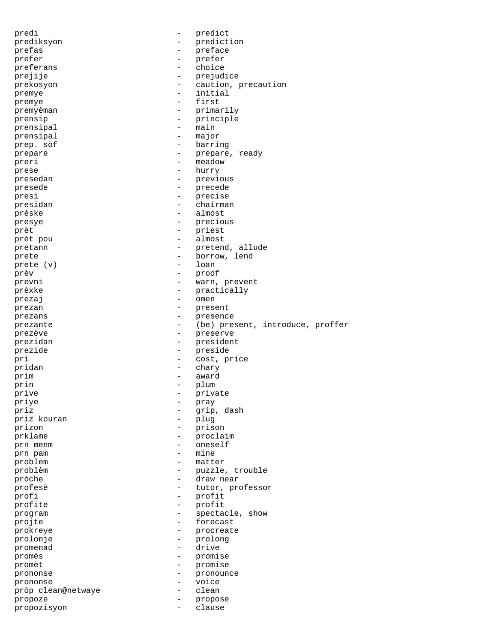predi - predict prediksyon - prediction<br>
prefas prefas - preface<br>prefer - preface<br>- prefer prefer  $\begin{array}{ccc}\n & & & \text{if } \\
\text{prefer} & & - & \text{prefer} \\
\text{prefer} & & - & \text{choin} \\
\end{array}$ preferans - choice prejije - prejudice prekosyon - caution, precaution premye - initial premye - first premyèman - primarily prensip - principle prensipal  $\overline{\phantom{a}}$  - main prensipal - major prep. sòf  $-$  barring prepare - prepare, ready preri - meadow prese hurry - hurry presedan - previous presede - precede -<br>presi<br>presidan - chairma presidan - chairman prèske - almost presye - precious prèt  $-$  priest prèt pou  $-$  almost pretann - pretend, allude prete  $\qquad \qquad -$  borrow, lend prete (v) - loan prèv - proof prevni - warn, prevent prèxke - practically<br>prezai - omen prezaj en el estado en el estado en el estado en el estado en el estado en el estado en el estado en el estado prezan - present prezans - presence prezante  $-$  (be) present, introduce, proffer prezève - preserve prezidan eta erresident erresident prezide - preside pri - cost, price pridan - chary prim - award prin - plum prive - private - private - private - private - private - private - private - private - private - private - private - private - private - private - private - private - private - private - private - private - private - priv priye - pray priz - grip, dash priz kouran prizon - prison prklame - proclaim prn menm - oneself prn pam - mine problem - matter problèm - puzzle, trouble pròche - draw near profesè - tutor, professor profi - profit profite  $\qquad \qquad -$  profit program  $\qquad \qquad -$  spectacle, show projte  $\overline{p}$  - forecast prokreye - procreate prolonje - prolong promenad - drive promès - promise promèt - promise prononse - pronounce prononse - voice pròp clean@netwaye - clean propoze - propose propozisyon - clause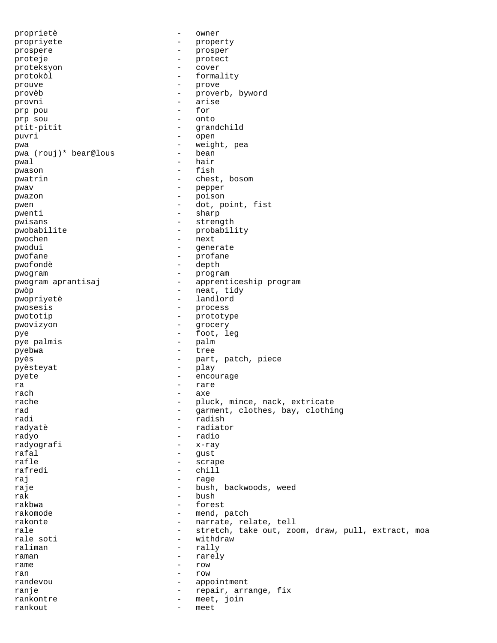proprietè - owner propriyete - property prospere - prosper proteje - protect proteksyon - cover protokòl - formality prouve - prove provèb - proverb, byword provni - arise prp pou - for prp sou ptit-pitit - grandchild puvri - open pwa - weight, pea pwa (rouj)\* bear@lous pwal - hair<br>pwason - fish pwason - fisher and the fisher and the fisher and the fisher and the fisher and the fisher and the fisher and the fisher and the fisher and the fisher and the fisher and the fisher and the fisher and the fisher and the fis pwatrin  $-$  chest, bosom pwav - pepper<br>
pwazon - pepper<br>
- poison pwazon - poison pwen - dot, point, fist pwenti - sharp pwisans - strength pwobabilite - probability pwochen - next pwodui - generate pwofane - profane pwofondè - depth pwogram - program pwogram aprantisaj - apprenticeship program pwòp - neat, tidy pwopriyetè - landlord pwosesis - process pwototip - prototype pwovizyon - grocery pye - foot, leg pye palmis - palm pyebwa - tree pyès<br>
pyès<br>
puèstevat<br>
play<br>
play<br>
play<br>
play pyèsteyat - play pyete - encourage ra  $-$  rare rach axe and a search and a search and a search and a search and a search and a search and a search and a search  $$ rache - pluck, mince, nack, extricate<br>rad - pluck, mince, nack, extricate<br>arment.clothes.bay.clothi rad  $\begin{array}{cccc} \text{rad} & \text{rad} & \text{rad} & \text{rad} \\ \text{rad} & \text{rad} & \text{rad} & \text{rad} \\ \end{array}$ - radish radyatè - radiator radyo - radio radyografi - x-ray rafal - gust rafle - scrape rafredi - chill raj la la la contradición de la contradición de la contradición de la contradición de la contradición de la co<br>En el contradición de la contradición de la contradición de la contradición de la contradición de la contradic raje  $-$  bush, backwoods, weed  $\mathbf{r}$ ak - bush - bush - bush - bush - bush - bush - bush - bush - bush - bush - bush - bush - bush - bush - bush - bush - bush - bush - bush - bush - bush - bush - bush - bush - bush - bush - bush - bush - bush - bush rakbwa - forest rakomode - mend, patch rakonte  $\qquad \qquad -$  narrate, relate, tell rale extretch, take out, zoom, draw, pull, extract, moa rale soti - withdraw<br>raliman - rally raliman - rally raman - rarely<br>rame - row - row rame  $-$  row ran - row randevou - appointment ranje  $-$  repair, arrange, fix rankontre - meet, join rankout - meet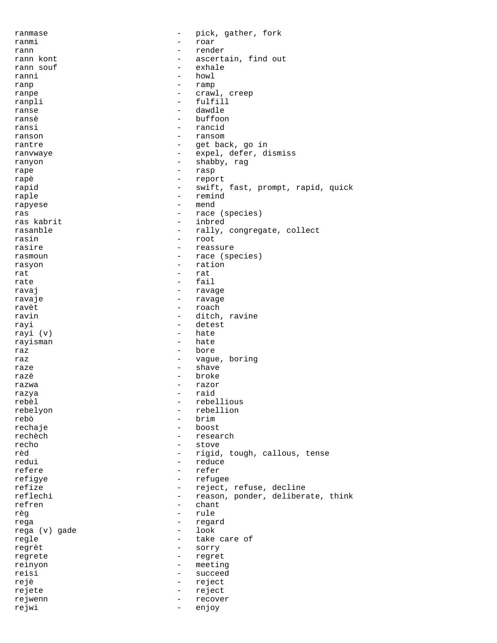ranmase  $-$  pick, gather, fork ranmi - roar rann - render - ascertain, find out<br>- exhale rann souf - exhaust the source of  $\sim$ ranni - howl<br>rann - rann ranp - ramp ranpe  $\qquad \qquad \qquad - \qquad \text{crawl, creep}$ ranpli - fulfill ranse - dawdle  $ransè$   $huffoon$ ransi - rancid ranson - ransom rantre  $-$  get back, go in ranvwaye  $\qquad \qquad \qquad -$  expel, defer, dismiss ranyon - shabby, rag rape - rasp rapè - report rapid  $-$  swift, fast, prompt, rapid, quick raple - remind rapyese - mend ras  $r$ as  $r$ as  $r$ ace (species)<br>ras kabrit  $r$  - inbred - inbred rasanble  $-$  rally, congregate, collect rasin - root rasire - reassure rasmoun - race (species) rasyon - ration rat - rat rate  $\overline{ }$  fail  $\overline{ }$  fail  $\overline{ }$  rays ravaj *ravage* - ravage ravaje - ravage - ravage ravèt - roach - ditch, ravine rayi - detest<br>rayi (y) - hate rayi (v) - hate<br>rayisman - hate<br>- hate rayisman raz e bore raz  $-$  vague, boring raze - shave razè  $-$  broke razwa - razor razya - raid rebèl d'ans les proponents de la proponent de la proponent de la proponent de la proponent de la proponent de l rebelyon - rebellion rebò - brim - boost rechèch - research recho - stove - rigid, tough, callous, tense redui - reduce refere - refer refigye - refugee refize  $-$  reject, refuse, decline reflechi - reason, ponder, deliberate, think<br>refren - chant - chant  $-$  chant<br> $-$  rule règ - rule rega - regard rega (v) gade regle  $-$  take care of regrèt - sorry regrete - regret reinyon - meeting reisi - succeed rejè  $-$  reject rejete - reject rejwenn - recover rejwi - enjoy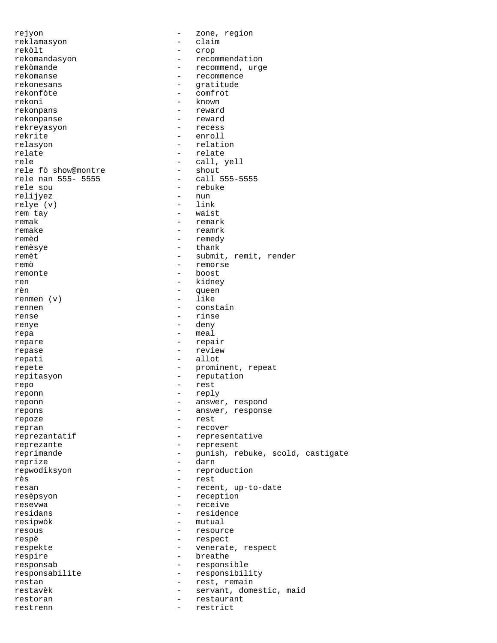rejyon - zone, region reklamasyon - claim rekòlt - crop rekomandasyon - recommendation rekòmande - recommend, urge rekomanse en een van die verschiedeniste verschieden van die verschieden van die verschieden van die verschied<br>Een verschiedeniste verschiedeniste verschieden van die verschieden van die verschieden van die verschieden va<br> - gratitude<br>- comfrot rekonfòte - comfrot rekoni - known rekonpans - reward rekonpanse - reward rekreyasyon rekrite - enroll relasyon - relation relate - relate rele <br/>  $\begin{tabular}{ll} \bf - & \tt call, \tt well \\ \bf rele f\`o \; show@montre & \tt - \; show@montre \\ \end{tabular}$ rele fò show@montre - shout rele nan 555- 5555<br>rele sou - rebuke<br>- nun relijyez - nun<br>relve (v) - link relye (v)<br>rem tay - waist remak - remark remake - reamrk remèd - remedy remèsye - thank remèt  $-$  submit, remit, render remò - remorse remonte - boost ren - kidney<br>
rèn - cuen rèn - queen renmen  $(v)$ rennen - constain rense - rinse renye - deny repa - meal repare - repair repase - review repati - allot repete  $-$  prominent, repeat repitasyon - reputation repo - rest<br>reponn - rest<br>reponn - replacement reponn - reply reponn - answer, respond repons - answer, response repoze - rest repran - recover reprezantatif - representative reprezante  $-$  represent reprimande - punish, rebuke, scold, castigate reprize - darn repwodiksyon - reproduction rès - rest resan  $-$  recent, up-to-date resèpsyon  $-$  reception<br>reserve resevwa - receive residans - residence resipwòk - mutual resous - resource respè - respect respekte  $-$  venerate, respect respire - breathe responsab - responsible responsabilite - responsibility restan  $-$  rest, remain restavèk  $-$  servant, domestic, maid restoran extensive the contract of the restaurant restrenn - restrict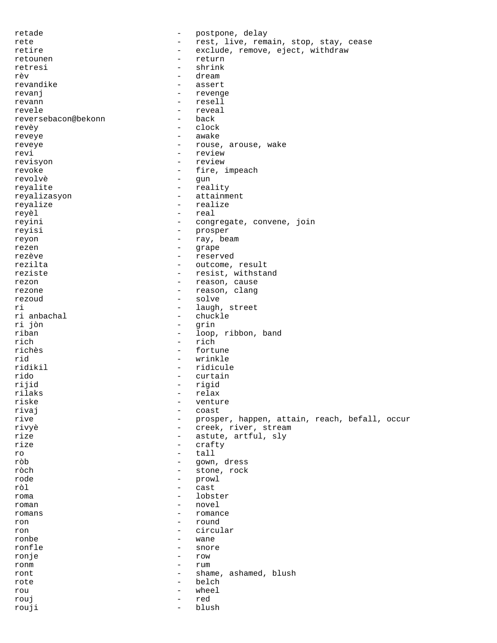retade  $-$  postpone, delay rete - rest, live, remain, stop, stay, cease retire - exclude, remove, eject, withdraw retounen - return retresi - shrink rèv - dream revandike - assert revanj - revenge revann - resell revele - reveal<br>reversebacon@bekonn - back - back reversebacon@bekonn revèy - clock reveye - awake reveye  $-$  rouse, arouse, wake revi - review revisyon - review revoke  $-$  fire, impeach revolvè - gun reyalite - reality reyalizasyon - attainment reyalize - realize - real reyini - congregate, convene, join reyisi - prosper reyon - ray, beam rezen - grape rezève  $-$  reserved rezilta - outcome, result reziste  $-$  resist, withstand rezon - reason, cause rezone - reason, clang<br>rezoud - solve rezoud - solve ri - laugh, street - chuckle<br>- grin ri jòn<br>riban riban - loop, ribbon, band<br>rich - rich - rich rich - rich<br>richès - fortu - fortune rid - wrinkle ridikil - ridicule rido - curtain rijid - rigid rilaks - relax - venture<br>- coast rivaj en la estado en la estado en la estado en la estado en la estado en la estado en la estado en la estado e rive - prosper, happen, attain, reach, befall, occur rivyè - creek, river, stream rize - astute, artful, sly<br>rize - crafty - crafty ro - tall ròb - gown, dress ròch - stone, rock - prowl ròl - cast roma - lobster roman - novel<br>romans - novel<br>- roman romans - romance - romance - romance - round - round - round - round - round - round - round - round - round - round - round - round - round - round - round - round - round - round - round - round - round - round - round ron - round<br>ron - round - round - round - round - round - round - round - round - round - round - round - round - round - round - round - round - round - round - round - round - round - round - round - round - round - roun circular ronbe - wane ronfle - snore ronje - row ronm - rum ront  $\qquad \qquad -$  shame, ashamed, blush rote - belch rou - wheel rouj - red rouji - blush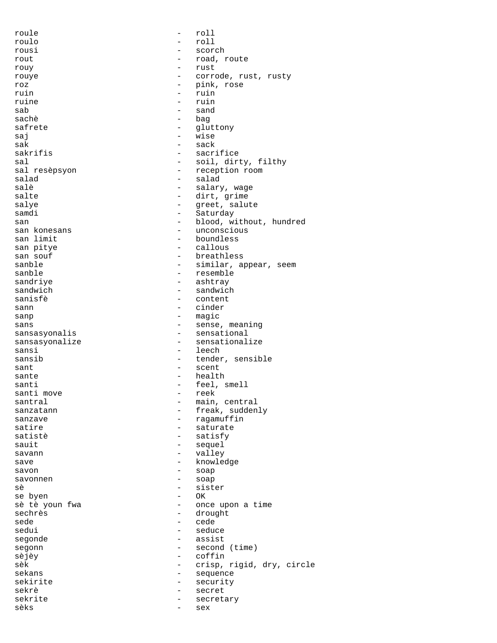| roule           |                                                      | roll                      |
|-----------------|------------------------------------------------------|---------------------------|
| roulo           |                                                      | roll                      |
| rousi           |                                                      | scorch                    |
| rout            |                                                      | road, route               |
| rouy            | $\overline{\phantom{0}}$                             | rust                      |
| rouye           | $\overline{\phantom{0}}$                             | corrode, rust, rusty      |
| roz             | $\qquad \qquad -$                                    | pink, rose                |
| ruin            | $\overline{\phantom{0}}$                             | ruin                      |
| ruine           | $\equiv$                                             | ruin                      |
| sab             |                                                      | sand                      |
| sachè           | $\qquad \qquad -$                                    | baq                       |
| safrete         | -                                                    | gluttony                  |
| sai             | $\qquad \qquad -$                                    | wise                      |
| sak             |                                                      | sack                      |
| sakrifis        | $\qquad \qquad -$                                    | sacrifice                 |
| sal             | -                                                    | soil, dirty, filthy       |
| sal resèpsyon   | $\qquad \qquad -$                                    | reception room            |
| salad           | $\qquad \qquad -$                                    | salad                     |
| salè            | $\overline{\phantom{0}}$                             | salary, wage              |
| salte           | $-$                                                  | dirt, grime               |
| salye           | $\overline{\phantom{0}}$                             | greet, salute             |
| samdi           | $\qquad \qquad -$                                    | Saturday                  |
| san             | $\overline{\phantom{0}}$                             | blood, without, hundred   |
| san konesans    | $\overline{\phantom{0}}$                             | unconscious               |
| san limit       | $\overline{\phantom{0}}$                             | boundless                 |
| san pitye       | $\overline{\phantom{0}}$                             | callous                   |
| san souf        | $\overline{\phantom{0}}$                             | breathless                |
| sanble          | $\qquad \qquad -$                                    | similar, appear, seem     |
| sanble          | $\overline{\phantom{0}}$                             | resemble                  |
| sandriye        | $\overline{\phantom{0}}$                             | ashtray                   |
| sandwich        |                                                      | sandwich                  |
| sanisfè         | $\overline{\phantom{0}}$                             | content                   |
| sann            | $\overline{\phantom{0}}$<br>$\overline{\phantom{0}}$ | cinder                    |
| sanp            | $\overline{\phantom{0}}$                             | magic                     |
| sans            |                                                      | sense, meaning            |
| sansasyonalis   | $\qquad \qquad -$                                    | sensational               |
| sansasyonalize  | $\qquad \qquad -$                                    | sensationalize            |
| sansi<br>sansib | $\overline{\phantom{0}}$<br>$\qquad \qquad -$        | leech<br>tender, sensible |
| sant            | $\qquad \qquad -$                                    | scent                     |
| sante           | $\qquad \qquad -$                                    | health                    |
| santi           |                                                      | feel, smell               |
| santi move      |                                                      | reek                      |
| santral         | $\qquad \qquad -$                                    | main, central             |
| sanzatann       |                                                      | freak, suddenly           |
| sanzave         |                                                      | ragamuffin                |
| satire          |                                                      | saturate                  |
| satistè         |                                                      | satisfy                   |
| sauit           | $\qquad \qquad -$                                    | sequel                    |
| savann          | $\qquad \qquad -$                                    | valley                    |
| save            | $\overline{\phantom{0}}$                             | knowledge                 |
| savon           | $\overline{\phantom{0}}$                             | soap                      |
| savonnen        | $\qquad \qquad -$                                    | soap                      |
| sè              |                                                      | sister                    |
| se byen         | $\overline{\phantom{0}}$                             | OK.                       |
| sè tè youn fwa  |                                                      | once upon a time          |
| sechrès         | $\overline{\phantom{0}}$                             | drought                   |
| sede            | $\overline{\phantom{0}}$                             | cede                      |
| sedui           | $\overline{\phantom{0}}$                             | seduce                    |
| segonde         |                                                      | assist                    |
| segonn          | $\qquad \qquad -$                                    | second (time)             |
| sèjèy           | $\qquad \qquad -$                                    | coffin                    |
| sèk             | $\qquad \qquad -$                                    | crisp, rigid, dry, circle |
| sekans          |                                                      |                           |
| sekirite        |                                                      |                           |
|                 | $\qquad \qquad -$                                    | sequence                  |
| sekrè           |                                                      | security<br>secret        |
| sekrite         |                                                      | secretary                 |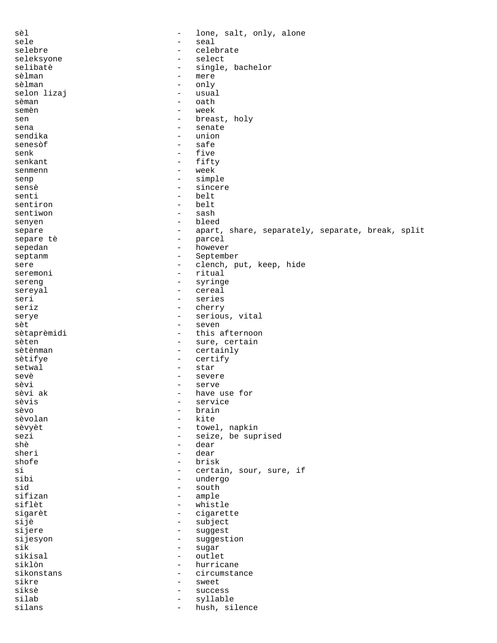sèl  $-$  lone, salt, only, alone sele<br>selebre - seal<br>selebre - celeb selebre - celebrate seleksyone - select selibatè - single, bachelor  $s = \text{merge}$ <br> $\text{only}$ sèlman - only selon lizaj<br>sèman - oath semèn  $-$  week sen - breast, holy sena - senate sendika - union senesòf - safe senk - five senkant - fifty senmenn - week senp - simple sensè - sincere - belt<br>- belt sentiron - belt<br>sentiwon - sash sentiwon senyen - bleed separe - apart, share, separately, separate, break, split<br>separe tè - parcel - parcel sepedan - however septanm - September sere - clench, put, keep, hide seremoni - ritual sereng - syringe<br>sereval - cereal sereyal - cereal<br>seri - series seri - series seriz - cherry serye  $-$  serious, vital sèt - seven sètaprèmidi - this afternoon sèten - sure, certain<br>sètènman - certainly - certainly sètifye - certify setwal - star sevè - severe sèvi - serve - have use for<br>- service sèvis - service brain sèvolan di contra la contra la contra la contra la contra la contra la contra la contra la contra la contra la sèvyèt  $-$  towel, napkin sezi - seize, be suprised<br>shè - dear shè - dear dear shofe - brisk si - certain, sour, sure, if<br>sibi - undergo sibi - undergo sid - south sifizan - south - south - south - south - south - south - south - south - south - south - south - south - south - south - south - south - south - south - south - south - south - south - south - south - south sifizan - ample<br>siflèt - whist siflèt - whistle sigarèt - cigarette sijè - subject - suggest sijesyon - suggestion<br>sik - suggestion<br>- sugar sik - sugar<br>sikisal - outlet sikisal - outlet hurricane sikonstans - circumstance sikre - sweet siksè - success silab - syllable - hush, silence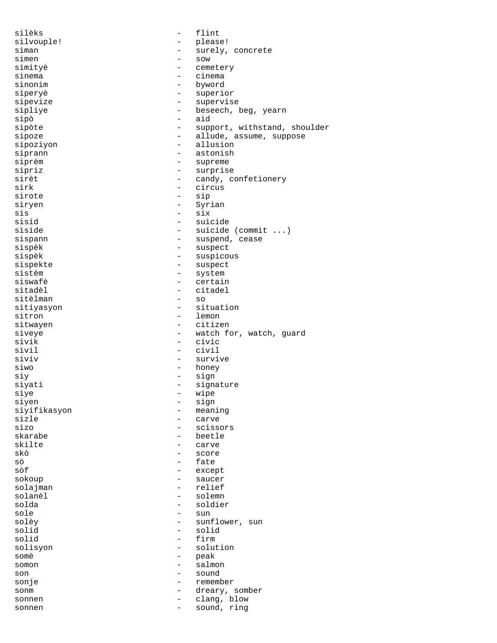| silèks       | -                        | flint                        |
|--------------|--------------------------|------------------------------|
| silvouple!   |                          | please!                      |
| siman        |                          | surely, concrete             |
| simen        | $\qquad \qquad -$        | SOW                          |
| simityè      |                          | cemetery                     |
| sinema       | $\overline{\phantom{0}}$ | cinema                       |
| sinonim      | $\overline{\phantom{0}}$ | byword                       |
| siperyè      | -                        | superior                     |
| sipevize     | $\qquad \qquad -$        | supervise                    |
| sipliye      | $\overline{\phantom{0}}$ | beseech, beg, yearn          |
| sipò         | $\overline{\phantom{0}}$ | aid                          |
| sipòte       | $\qquad \qquad -$        | support, withstand, shoulder |
| sipoze       | -                        | allude, assume, suppose      |
| sipoziyon    | $\qquad \qquad -$        | allusion                     |
| siprann      | $\overline{\phantom{0}}$ | astonish                     |
| siprèm       | $\qquad \qquad -$        | supreme                      |
| sipriz       |                          | surprise                     |
| sirèt        | $\qquad \qquad -$        | candy, confetionery          |
| sirk         | $\overline{\phantom{0}}$ | circus                       |
| sirote       | $\qquad \qquad -$        | sip                          |
| siryen       | -                        | Syrian                       |
| sis          | $\overline{\phantom{0}}$ | six                          |
| sisid        |                          | suicide                      |
| siside       | $\qquad \qquad -$        | suicide (commit $\ldots$ )   |
| sispann      | $\qquad \qquad =$        | suspend, cease               |
| sispèk       | $\qquad \qquad -$        | suspect                      |
| sispèk       | -                        | suspicous                    |
| sispekte     | $\qquad \qquad -$        | suspect                      |
| sistèm       | $\qquad \qquad -$        | system                       |
| siswafè      | $\overline{\phantom{0}}$ | certain                      |
| sitadèl      | $\overline{\phantom{0}}$ | citadel                      |
| sitèlman     | $\overline{\phantom{0}}$ |                              |
|              | $\qquad \qquad -$        | SO                           |
| sitiyasyon   |                          | situation                    |
| sitron       |                          | lemon                        |
| sitwayen     |                          | citizen                      |
| siveye       | $\overline{\phantom{0}}$ | watch for, watch, guard      |
| sivik        | $\overline{\phantom{m}}$ | civic                        |
| sivil        | $\qquad \qquad -$        | civil                        |
| siviv        | $\overline{\phantom{0}}$ | survive                      |
| siwo         | $\qquad \qquad -$        | honey                        |
| siy          | -                        | sign                         |
| siyati       | $\qquad \qquad -$        | signature                    |
| sıye         | -                        | wipe                         |
| siyen        | $\overline{\phantom{0}}$ | sign                         |
| siyifikasyon | $\overline{\phantom{0}}$ | meaning                      |
| sizle        |                          | carve                        |
| sizo         | $\overline{\phantom{0}}$ | scissors                     |
| skarabe      |                          | beetle                       |
| skilte       |                          | carve                        |
| skò          | -                        | score                        |
| sò           | $\overline{\phantom{0}}$ | fate                         |
| sòf          |                          | except                       |
| sokoup       | $\qquad \qquad -$        | saucer                       |
| solajman     | $\qquad \qquad -$        | relief                       |
| solanèl      |                          | solemn                       |
| solda        |                          | soldier                      |
| sole         | $\overline{\phantom{0}}$ | sun                          |
| solèy        | $\qquad \qquad -$        | sunflower, sun               |
| solid        | $\overline{\phantom{0}}$ | solid                        |
| solid        |                          | firm                         |
| solisyon     | $\overline{\phantom{0}}$ | solution                     |
| somè         | -                        | peak                         |
| somon        | $\qquad \qquad -$        | salmon                       |
| son          |                          | sound                        |
| sonje        |                          | remember                     |
| sonm         | $\qquad \qquad -$        | dreary, somber               |
| sonnen       | $\overline{\phantom{0}}$ | clang, blow                  |
| sonnen       | $\overline{\phantom{0}}$ | sound, ring                  |
|              |                          |                              |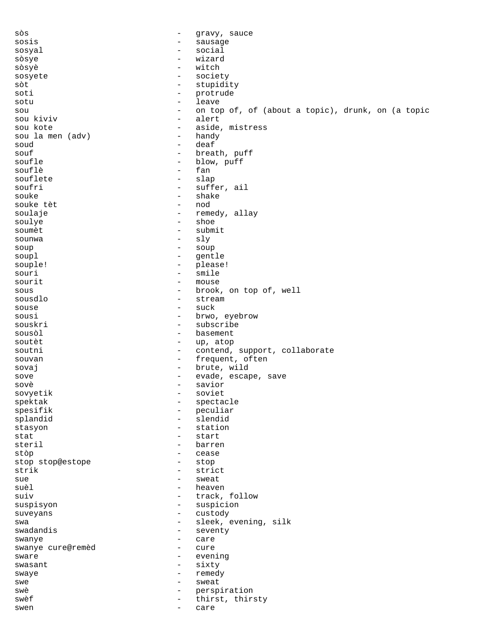sòs  $-$  gravy, sauce sosis - sausage sosyal - social - social sòsye - wizard sòsyè - witch<br>sosyete - societ sosyete - society sòt - stupidity soti - protrude - leave sou - on top of, of (about a topic), drunk, on (a topic sou kiviv - alert sou kote - aside, mistress sou la men (adv) soud - deaf souf - breath, puff blow, puff<br>fan souflè - fan it fan it fan it fan it fan it fan it fan it fan it fan it fan it fan it fan it fan it fan it fan souflete - slap soufri - suffer, ail - shake<br>- nod souke tèt soulaje  $-$  remedy, allay soulye - shoe soumèt d'avant de la comme de la comme de la comme de la comme de la comme de la comme de la comme de la comme  $\begin{array}{ccc} \text{sound} & \text{S} \\ \text{sound} & \text{S} \end{array}$ soup - soup soupl - gentle souple! - please!<br>souri - please! - smile - smile sourit - mouse - mouse - mouse - mouse - prook - brook, on top of, well<br>- stream sousdlo - stream souse - suck<br>sousi - brwo sousi - brwo, eyebrow - subscribe sousòl - basement - up, atop soutni - contend, support, collaborate souvan - frequent, often sovaj - brute, wild sove sove and the set of the evade, escape, save sovè - savior sovyetik - sovietik - sovietik - sovietik - sovietik - sovietik - sovietik - sovietik - sovietik - sovietik spektak - spectacle spesifik - peculiar splandid<br>stasyon - station stat - start steril - barren stòp - cease stop stop@estope strik - strict<br>sue - sweat sue - sweat suèl - heaven suiv  $-$  track, follow suspisyon - suspicion suveyans - custody swa  $-$  sleek, evening, silk<br>swadandis  $-$  seventy - seventy<br>- care swanye - care swanye cure@remèd - cure sware - evening<br>swasant - evening<br>- sixty swasant - sixty swaye - remedy swe - sweat swè  $-$  perspiration swèf  $-$  thirst, thirsty swen - care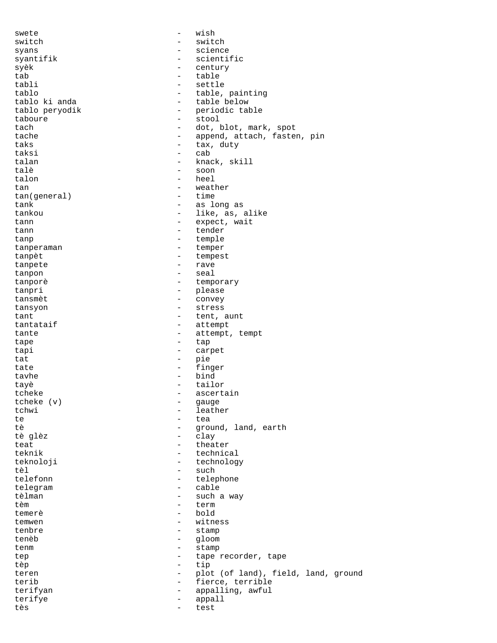swete - wish switch - switch syans - science syantifik - scientific syèk - century<br>tab - table tab table table table<br>tabli - table table tabli - settle tablo<br>tablo ki anda<br>
- table below<br>
- table below - table below tablo peryodik  $-$  periodic table taboure - stool tach  $-\text{dot}, \text{blot}, \text{mark}, \text{spot}$ tache  $\qquad \qquad -$  append, attach, fasten, pin taks - tax, duty taksi - cab talan  $-$  knack, skill talè - soon - heel<br>- weat tan  $\leftarrow$  weather<br>tan(qeneral) - time tan(general) tank  $\qquad \qquad -$  as long as tankou - like, as, alike tann  $\qquad \qquad -$  expect, wait tann  $-$  tender tanp  $-$  temple tanperaman - temper tanpèt  $-$  tempest tanpete - rave tanpon - seal tanporè de la commune de la commune de la commune de la commune de la commune de la commune de la commune de l tanpri - please tansmèt  $-$  convey tansyon - stress tant  $-$  tent, aunt tantataif  $-$  attempt tante  $\qquad \qquad -$  attempt, tempt tape - tap tapi - carpet tat - pie tate  $-$  finger tavhe - bind tayè - tailor tcheke - ascertain<br>tcheke (y) - asuge tcheke (v) - gauge tchwi - leather te de la contrata de la contrata de la contrata de la contrata de la contrata de la contrata de la contrata de<br>La contrata de la contrata de la contrata de la contrata de la contrata de la contrata de la contrata de la co tè  $\begin{array}{ccc} 1 \text{ and,} & \text{arth} \\ 2 \text{ and,} & \text{arth} \end{array}$ - clay teat - theater<br>teknik - technic - technical teknoloji - technology tèl - such telefonn - telephone telegram - cable tèlman - such a way - term<br>- bold temerè - bold temwen - witness tenbre - stamp tenèb - gloom tenm - stamp tep - tape recorder, tape<br>
tep - tip<br>
- tip tèp - tip teren - plot (of land), field, land, ground terib - fierce, terrible terifyan - appalling, awful terifye - appall tès - test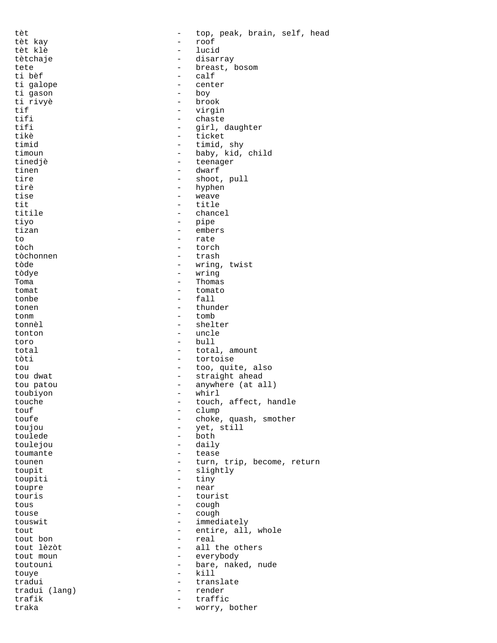| tèt           |                                               | top, peak, brain, self, head |
|---------------|-----------------------------------------------|------------------------------|
| tèt kay       |                                               | roof                         |
| tèt klè       |                                               | lucid                        |
| tètchaje      |                                               | disarray                     |
| tete          | $\overline{\phantom{0}}$                      | breast, bosom                |
| ti bèf        | $\overline{\phantom{0}}$                      | calf                         |
| ti galope     | $\overline{\phantom{0}}$                      | center                       |
| ti gason      | $\overline{\phantom{0}}$                      | boy                          |
| ti rivyè      | $\overline{\phantom{0}}$                      | brook                        |
| tif           | $\overline{\phantom{0}}$                      | virgin                       |
| tifi          | $\overline{\phantom{0}}$                      | chaste                       |
| tifi          | $\qquad \qquad -$                             | girl, daughter               |
| tikè          | $\overline{\phantom{0}}$                      | ticket                       |
| timid         | $\overline{\phantom{0}}$                      | timid, shy                   |
| timoun        | $\qquad \qquad -$                             | baby, kid, child             |
| tinedjè       | $\qquad \qquad -$                             | teenager                     |
| tinen         | $\overline{\phantom{0}}$                      | dwarf                        |
| tire          | -                                             | shoot, pull                  |
| tirè          | $\qquad \qquad -$                             | hyphen                       |
| tise          | $\overline{\phantom{0}}$                      | weave                        |
| tit           | $\overline{\phantom{0}}$                      | title                        |
| titile        | $\overline{\phantom{0}}$                      | chancel                      |
| tiyo          | -                                             | pipe                         |
| tizan         | $\qquad \qquad -$                             | embers                       |
| to            | $\overline{\phantom{0}}$                      | rate                         |
| tòch          |                                               | torch                        |
| tòchonnen     | $\overline{\phantom{0}}$                      | trash                        |
| tòde          | $\qquad \qquad -$                             | wring, twist                 |
| tòdye         | $\qquad \qquad -$                             | wring                        |
| Toma          | $\overline{\phantom{0}}$                      | Thomas                       |
| tomat         | $\overline{\phantom{0}}$                      | tomato                       |
| tonbe         | $\qquad \qquad -$                             | fall                         |
| tonen         | $\overline{\phantom{0}}$                      | thunder                      |
| tonm          | $\overline{\phantom{0}}$                      | tomb                         |
| tonnèl        | $\overline{\phantom{0}}$                      | shelter                      |
| tonton        | -                                             | uncle                        |
| toro          | $\overline{\phantom{0}}$                      | bull                         |
| total         | -                                             | total, amount                |
| tòti          | $\overline{\phantom{0}}$                      | tortoise                     |
| tou           | $\qquad \qquad -$                             | too, quite, also             |
| tou dwat      | $\qquad \qquad -$                             | straight ahead               |
| tou patou     | $\qquad \qquad -$                             | anywhere (at all)            |
| toubiyon      |                                               | whirl                        |
| touche        | $\qquad \qquad -$                             | touch, affect, handle        |
| touf          |                                               | clump                        |
| toufe         | -                                             | choke, quash, smother        |
| toujou        |                                               | yet, still                   |
| toulede       | -                                             | both                         |
| toulejou      | -                                             | daily                        |
| toumante      | $\qquad \qquad -$                             | tease                        |
| tounen        | -                                             | turn, trip, become, return   |
| toupit        | $\qquad \qquad -$                             | slightly                     |
| toupiti       | -                                             | tiny                         |
| toupre        | $\qquad \qquad -$                             | near                         |
| touris        | $\overline{\phantom{0}}$<br>$\qquad \qquad -$ | tourist                      |
| tous<br>touse | $\overline{\phantom{0}}$                      | cough<br>cough               |
| touswit       | $\overline{\phantom{0}}$                      | immediately                  |
| tout          | $-$                                           | entire, all, whole           |
| tout bon      | $\overline{\phantom{0}}$                      | real                         |
| tout lèzòt    | $\overline{\phantom{0}}$                      | all the others               |
| tout moun     | $\qquad \qquad -$                             | everybody                    |
| toutouni      | $\overline{\phantom{0}}$                      | bare, naked, nude            |
| touye         | $\overline{\phantom{0}}$                      | kill                         |
| tradui        | -                                             | translate                    |
| tradui (lang) | $\qquad \qquad -$                             | render                       |
| trafik        | $\overline{\phantom{0}}$                      | traffic                      |
| traka         | $\qquad \qquad -$                             | worry, bother                |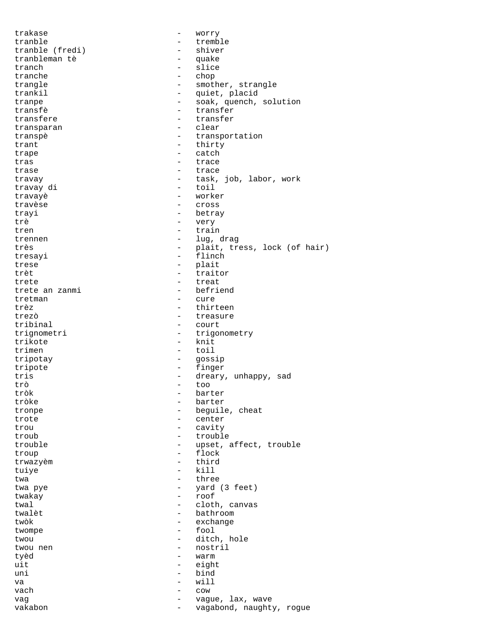trakase - worry tranble tranble (fredi) - tremble tranble (fredi) - shiver tranble (fredi) tranbleman tè  $\begin{array}{ccc} - & - & - \\ - & - & - \end{array}$ tranch - slice<br>tranche - chop tranche - chop trangle  $\qquad \qquad \qquad -$  smother, strangle trankil - quiet, placid tranpe - soak, quench, solution<br>transfè - transfer - transfer transfere  $\overline{t}$  transfere  $\overline{t}$  transfer transparan transpè  $-$  transportation trant - thirty trape - catch tras - trace trase  $-$  trace travay - task, job, labor, work travay di travayè - worker - cross trayi - betray trè - very tren  $-$  train trennen - lug, drag très  $-$  plait, tress, lock (of hair) tresayi - flinch trese - plait<br>trèt - traite - traite trèt  $-$  traitor trete - treat trete an zanmi tretman - cure trèz - thirteen trezò - treasure - court trignometri - trigonometry<br>trikote - knit trikote<br>trimen - toil tripotay - gossip tripote - finger tris - dreary, unhappy, sad trò - too barter tròke - barter tronpe - beguile, cheat trote  $\qquad \qquad -$  center trou - cavity troub - trouble trouble - upset, affect, trouble troup - flock trwazyèm - third tuiye - kill twa  $-$  three twa pye - yard (3 feet) twakay - roof twal  $\begin{array}{ccc} 1 & - & - & - \\ 0 & - & - & - \\ 0 & - & - & - \end{array}$  bathroom twalèt - bathroom - bathroom - bathroom - bathroom - bathroom - bathroom - bathroom - bathroom - bathroom - bathroom - bathroom - bathroom - bathroom - bathroom - bathroom - bathroom - bathroom - bathroom - bathroom - bath - exchange twompe - fool twou  $-$  ditch, hole twou nen - nostril tyèd - warm uit eight uni - bind va - will vach - cow vag  $-$  vague, lax, wave vakabon - vagabond, naughty, rogue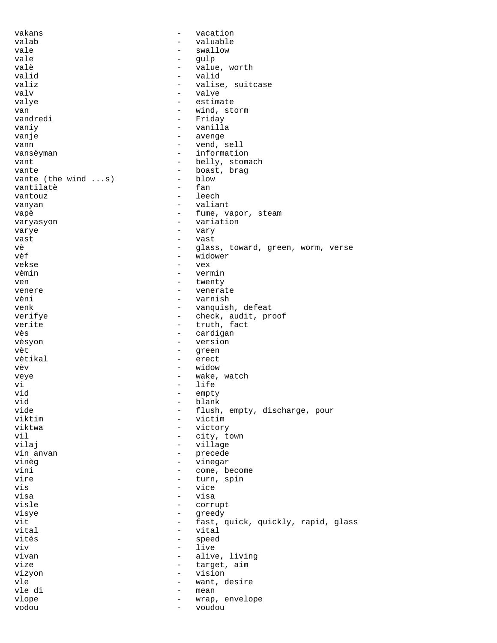vakans - vacation valab - valuable - valuable vale  $-$  swallow vale - gulp valè - value, worth valid - valid valiz  $\begin{array}{ccc} \texttt{value} & \texttt{value} \\ \texttt{value} & \texttt{value} \end{array}$ - valve valye  $\qquad \qquad -$  estimate van - wind, storm - Friday vaniy  $-$  vanilla vanje - avenge vann vann - vend, sell vansèyman  $-$  information vant  $-$  belly, stomach vante vante (the wind ...s) - boast, brag vante (the wind ...s) vante (the wind ...s) - blow<br>vantilate - fan vantilatè - fan vantouz - leech vanyan  $-$  valiant vapè - fume, vapor, steam varyasyon - variation<br>varye - varye varye - vary vast - vast - glass, toward, green, worm, verse vèf - widower vekse - vex vèmin - vermin ven - twenty venere - venerate vèni - varnish venk - vanquish, defeat<br>
verifye - vanquish, defeat<br>
- check, audit, pr verifye - check, audit, proof<br>verite - truth, fact - truth, fact vès d'annuncier de la cardigan de la cardigan de la cardigan de la cardigan de la cardigan de la cardigan de l vèsyon - version vèt  $-$  green vètikal - erect vèv - widow veye  $-$  wake, watch vi - life vid - empty vid - blank vide - flush, empty, discharge, pour<br>viktim - victim - victim viktim - victim - victory vil - city, town - village vin anvan 1990 - vin anvan 1990 - precede vinèg  $-$  vinegar vini  $\sim$  - come, become vire - turn, spin vis - vice visa - visa visle - corrupt<br>visve - corrupt - corrupt visye - greedy vit - fast, quick, quickly, rapid, glass vital - vital vitès  $-$  speed viv - live - alive, living<br>- target, aim vize  $-$  target, aim vizyon - vision vle - want, desire vle di - mean vlope  $\qquad \qquad -$  wrap, envelope vodou - voudou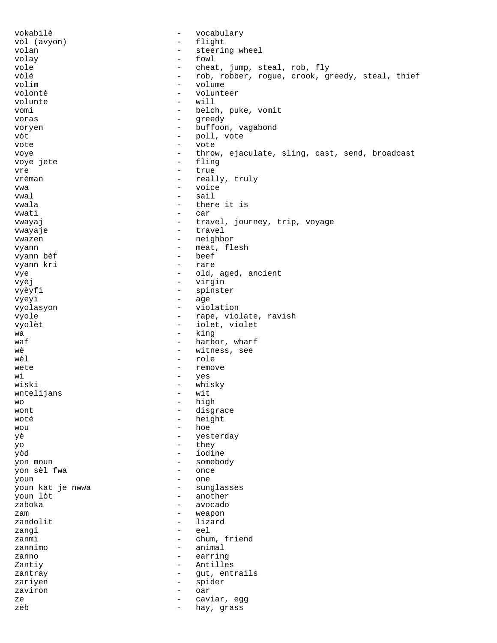vokabilè - vocabulary vòl (avyon) - flight - steering wheel volay - fowl vole - cheat, jump, steal, rob, fly<br>vòlè - cheat, jump, steal, rob, fly<br>rob, roque, crook, que vòlè - rob, robber, rogue, crook, greedy, steal, thief volim - volume - volunteer<br>- will volunte vomi - belch, puke, vomit voras - greedy voryen - buffoon, vagabond vòt  $-$  poll, vote vote - vote voye - throw, ejaculate, sling, cast, send, broadcast voye jete - flinger - flinger - flinger - flinger - flinger - flinger - flinger vre - true vrèman - really, truly<br>
v<sup>wa</sup> - voice vwa - voice<br>vwa - voice<br>sail - sail vwal - sail vwala - there it is - car vwayaj  $-$  travel, journey, trip, voyage vwayaje - travel vwazen  $-$  neighbor vyann - meat, flesh vyann bèf vyann kri - rare vye  $-$  old, aged, ancient vyèj - virgin<br>vyèv<sup>j</sup> - virgin<br>- sninst*i* vyèyfi - spinster<br>vyeyi - age vyeyi - age vyolasyon - violation vyole - rape, violate, ravish vyolèt - iolet, violet  $wa$  - king<br>waf - harbo waf  $\begin{array}{ccc} \text{waf} & - & \text{harbor, wharf} \\ \text{wè} & - & \text{witness. see} \end{array}$ - witness, see wèl  $-$  role wete - remove<br>wi - ves wi - yes wiski - whisky<br>wntelijans - wit - wit  $w_0$  which is not we will be  $\frac{1}{2}$  with  $\frac{1}{2}$   $\frac{1}{2}$   $\frac{1}{2}$   $\frac{1}{2}$   $\frac{1}{2}$   $\frac{1}{2}$   $\frac{1}{2}$   $\frac{1}{2}$   $\frac{1}{2}$   $\frac{1}{2}$   $\frac{1}{2}$   $\frac{1}{2}$   $\frac{1}{2}$   $\frac{1}{2}$   $\frac{1}{2}$   $\frac{1}{2}$   $\frac{1}{2}$   $\frac{1}{$ wo  $-$  high wont - - - - - disgrace wotè  $-$  height wou - hoe yè - yesterday yo - they yòd - iodine yon moun - somebody yon sèl fwa - once youn - one youn kat je nwwa - sunglasses - another<br>- avocado zaboka - avocado zam - weapon - lizard zangi - eel zanmi - chum, friend zannimo - animal zanno  $-$  earring Zantiy - Antilles zantray  $\qquad \qquad -$  gut, entrails<br>zariven  $\qquad \qquad -$  spider zariyen - spider zaviron - oar ze - caviar, egg - hay, grass